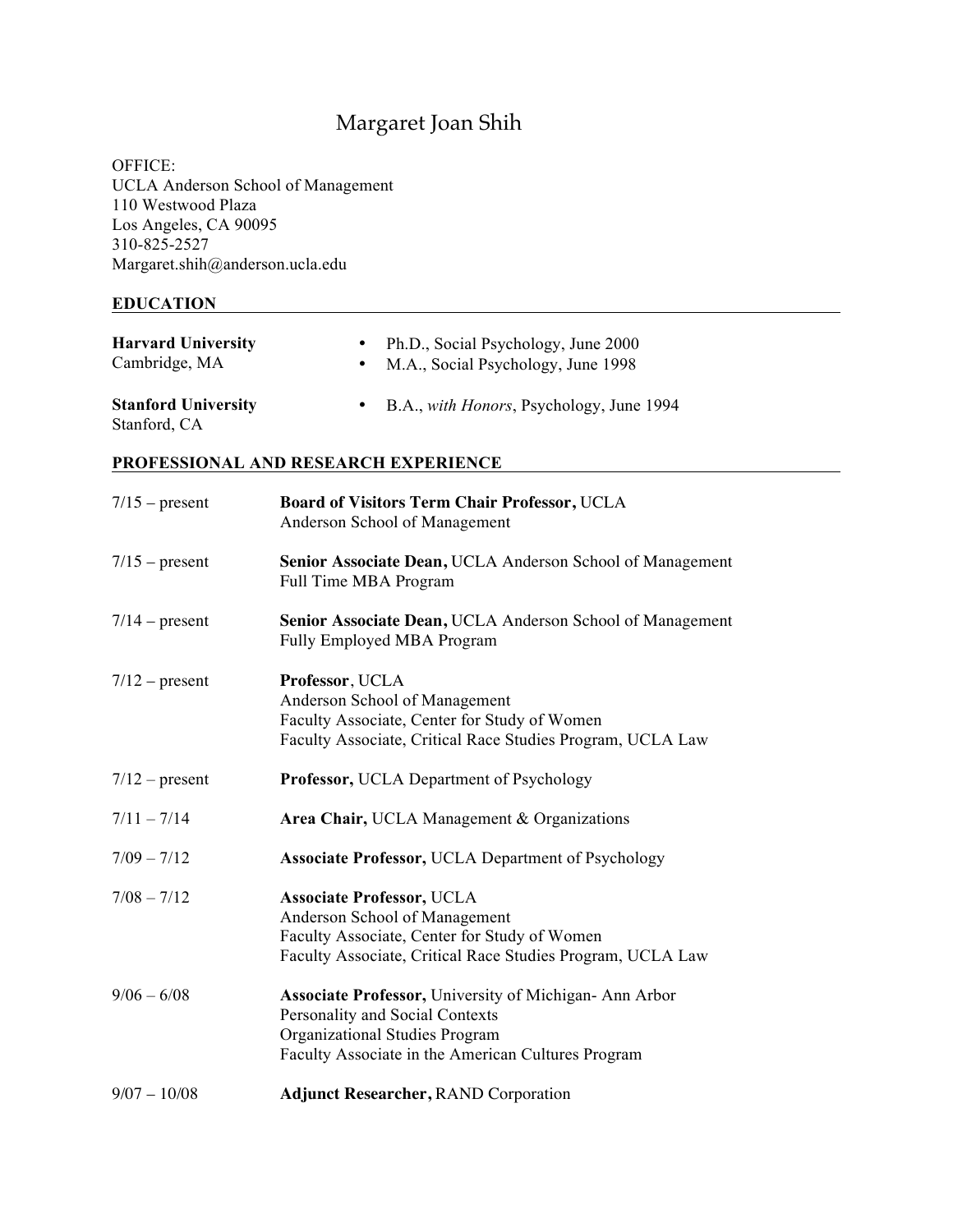# Margaret Joan Shih

OFFICE: UCLA Anderson School of Management 110 Westwood Plaza Los Angeles, CA 90095 310-825-2527 Margaret.shih@anderson.ucla.edu

### **EDUCATION**

| <b>Harvard University</b><br>Cambridge, MA |           | • Ph.D., Social Psychology, June 2000<br>• M.A., Social Psychology, June 1998 |
|--------------------------------------------|-----------|-------------------------------------------------------------------------------|
| <b>Stanford University</b><br>Stanford, CA | $\bullet$ | B.A., <i>with Honors</i> , Psychology, June 1994                              |

**PROFESSIONAL AND RESEARCH EXPERIENCE**

| $7/15$ – present | Board of Visitors Term Chair Professor, UCLA<br>Anderson School of Management                                                                                                    |
|------------------|----------------------------------------------------------------------------------------------------------------------------------------------------------------------------------|
| $7/15$ – present | Senior Associate Dean, UCLA Anderson School of Management<br>Full Time MBA Program                                                                                               |
| $7/14$ – present | Senior Associate Dean, UCLA Anderson School of Management<br>Fully Employed MBA Program                                                                                          |
| $7/12$ – present | Professor, UCLA<br>Anderson School of Management<br>Faculty Associate, Center for Study of Women<br>Faculty Associate, Critical Race Studies Program, UCLA Law                   |
| $7/12$ – present | <b>Professor, UCLA Department of Psychology</b>                                                                                                                                  |
| $7/11 - 7/14$    | Area Chair, UCLA Management & Organizations                                                                                                                                      |
| $7/09 - 7/12$    | <b>Associate Professor, UCLA Department of Psychology</b>                                                                                                                        |
| $7/08 - 7/12$    | <b>Associate Professor, UCLA</b><br>Anderson School of Management<br>Faculty Associate, Center for Study of Women<br>Faculty Associate, Critical Race Studies Program, UCLA Law  |
| $9/06 - 6/08$    | Associate Professor, University of Michigan-Ann Arbor<br>Personality and Social Contexts<br>Organizational Studies Program<br>Faculty Associate in the American Cultures Program |
| $9/07 - 10/08$   | <b>Adjunct Researcher, RAND Corporation</b>                                                                                                                                      |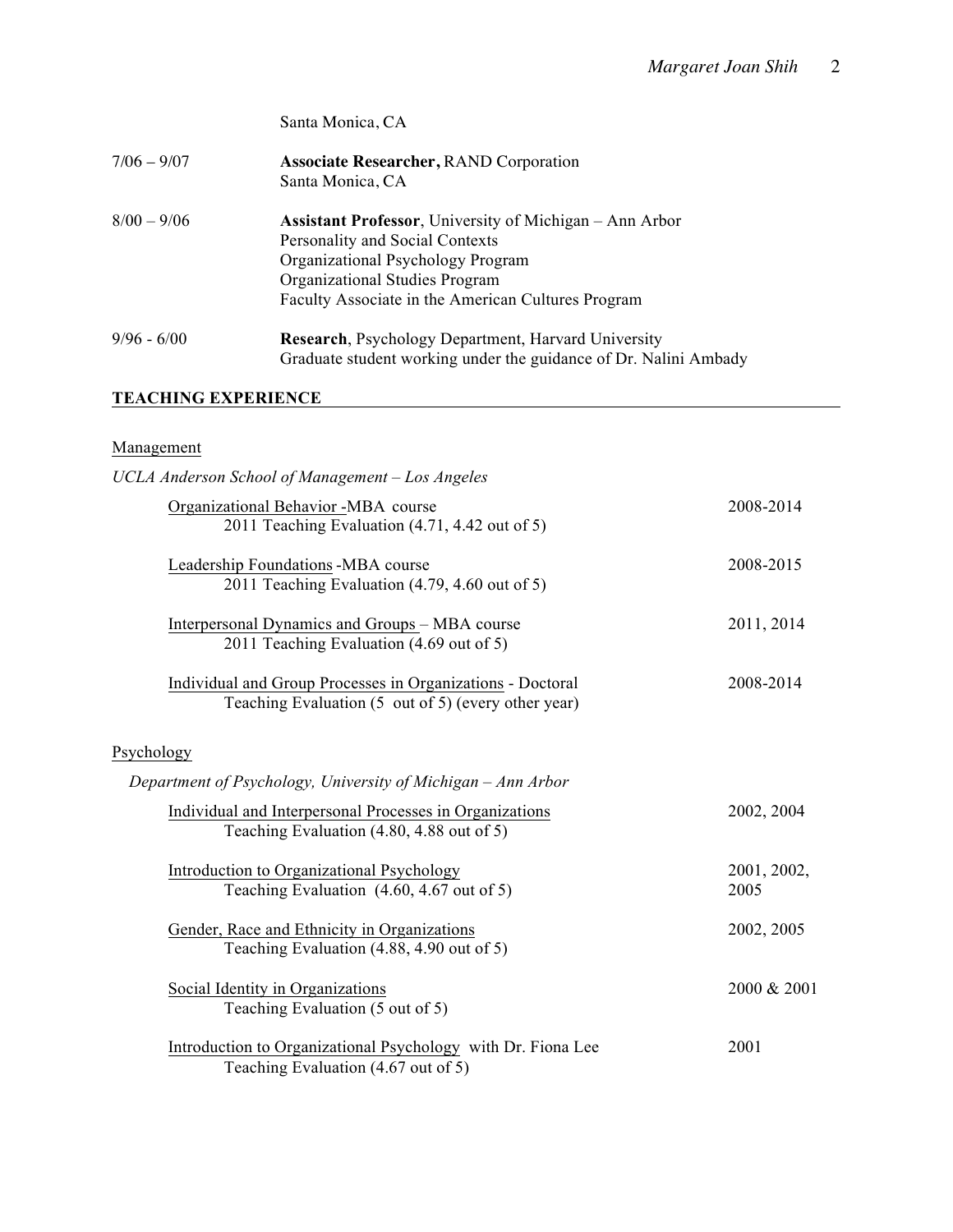|               | Santa Monica, CA                                                                                                                                                                                                                |
|---------------|---------------------------------------------------------------------------------------------------------------------------------------------------------------------------------------------------------------------------------|
| $7/06 - 9/07$ | <b>Associate Researcher, RAND Corporation</b><br>Santa Monica, CA                                                                                                                                                               |
| $8/00 - 9/06$ | <b>Assistant Professor</b> , University of Michigan – Ann Arbor<br>Personality and Social Contexts<br>Organizational Psychology Program<br>Organizational Studies Program<br>Faculty Associate in the American Cultures Program |
| $9/96 - 6/00$ | <b>Research, Psychology Department, Harvard University</b><br>Graduate student working under the guidance of Dr. Nalini Ambady                                                                                                  |

# **TEACHING EXPERIENCE**

# Management

| UCLA Anderson School of Management - Los Angeles                                                                         |                     |
|--------------------------------------------------------------------------------------------------------------------------|---------------------|
| Organizational Behavior -MBA course<br>2011 Teaching Evaluation (4.71, 4.42 out of 5)                                    | 2008-2014           |
| Leadership Foundations -MBA course<br>2011 Teaching Evaluation (4.79, 4.60 out of 5)                                     | 2008-2015           |
| Interpersonal Dynamics and Groups – MBA course<br>2011 Teaching Evaluation (4.69 out of 5)                               | 2011, 2014          |
| <b>Individual and Group Processes in Organizations - Doctoral</b><br>Teaching Evaluation (5 out of 5) (every other year) | 2008-2014           |
| Psychology                                                                                                               |                     |
| Department of Psychology, University of Michigan – Ann Arbor                                                             |                     |
| Individual and Interpersonal Processes in Organizations<br>Teaching Evaluation (4.80, 4.88 out of 5)                     | 2002, 2004          |
| Introduction to Organizational Psychology<br>Teaching Evaluation (4.60, 4.67 out of 5)                                   | 2001, 2002,<br>2005 |
| Gender, Race and Ethnicity in Organizations<br>Teaching Evaluation (4.88, 4.90 out of 5)                                 | 2002, 2005          |
| Social Identity in Organizations<br>Teaching Evaluation (5 out of 5)                                                     | 2000 & 2001         |
| Introduction to Organizational Psychology with Dr. Fiona Lee<br>Teaching Evaluation (4.67 out of 5)                      | 2001                |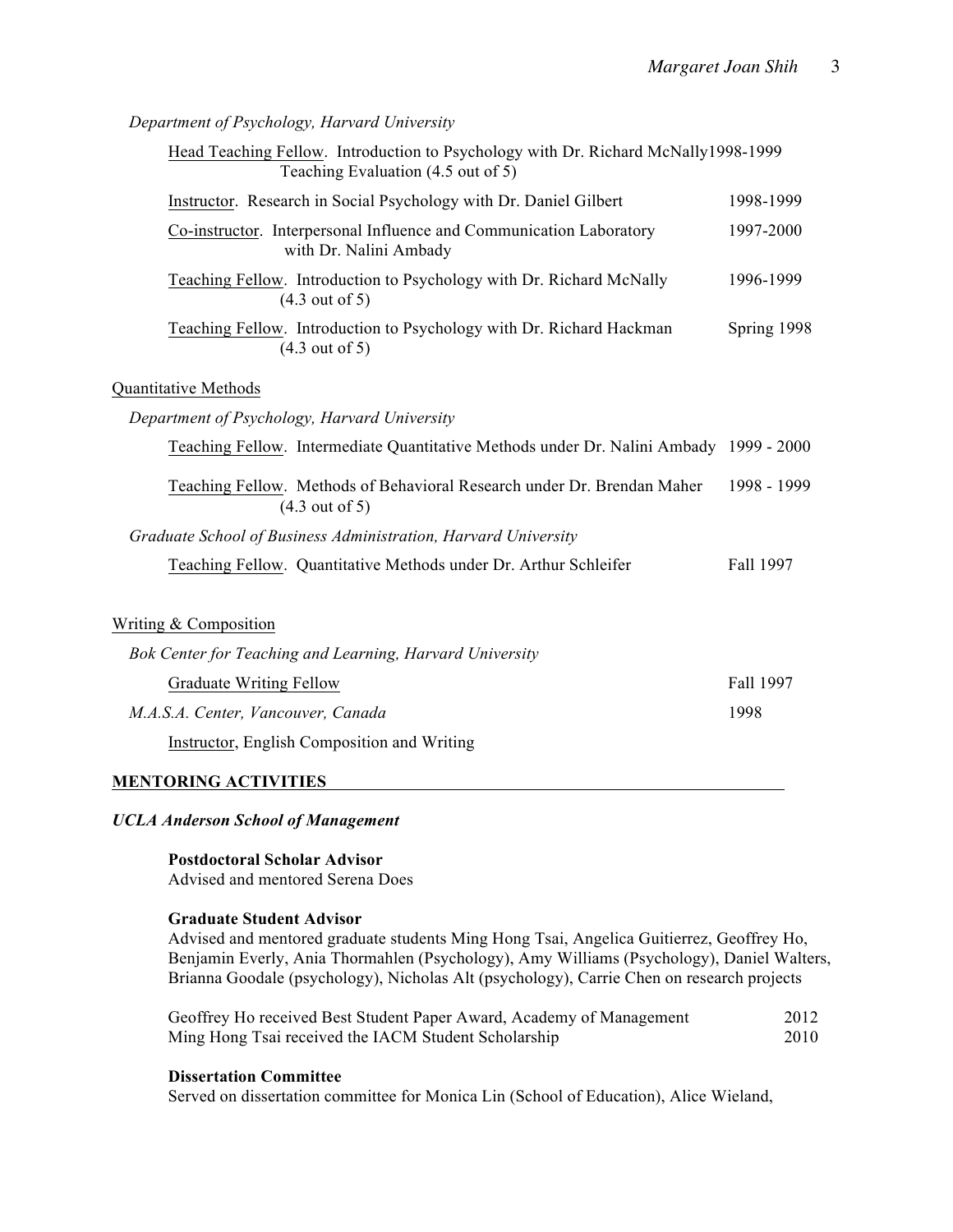*Department of Psychology, Harvard University*

| Head Teaching Fellow. Introduction to Psychology with Dr. Richard McNally1998-1999<br>Teaching Evaluation (4.5 out of 5) |             |
|--------------------------------------------------------------------------------------------------------------------------|-------------|
| Instructor. Research in Social Psychology with Dr. Daniel Gilbert                                                        | 1998-1999   |
| Co-instructor. Interpersonal Influence and Communication Laboratory<br>with Dr. Nalini Ambady                            | 1997-2000   |
| Teaching Fellow. Introduction to Psychology with Dr. Richard McNally<br>$(4.3 \text{ out of } 5)$                        | 1996-1999   |
| Teaching Fellow. Introduction to Psychology with Dr. Richard Hackman<br>$(4.3 \text{ out of } 5)$                        | Spring 1998 |
| Quantitative Methods                                                                                                     |             |
| Department of Psychology, Harvard University                                                                             |             |
| Teaching Fellow. Intermediate Quantitative Methods under Dr. Nalini Ambady 1999 - 2000                                   |             |
| Teaching Fellow. Methods of Behavioral Research under Dr. Brendan Maher<br>$(4.3 \text{ out of } 5)$                     | 1998 - 1999 |
| Graduate School of Business Administration, Harvard University                                                           |             |
| Teaching Fellow. Quantitative Methods under Dr. Arthur Schleifer                                                         | Fall 1997   |
| <b>Writing &amp; Composition</b>                                                                                         |             |
| Bok Center for Teaching and Learning, Harvard University                                                                 |             |
| <b>Graduate Writing Fellow</b>                                                                                           | Fall 1997   |

*M.A.S.A. Center, Vancouver, Canada* 1998

Instructor, English Composition and Writing

# **MENTORING ACTIVITIES**

# *UCLA Anderson School of Management*

**Postdoctoral Scholar Advisor** Advised and mentored Serena Does

# **Graduate Student Advisor**

Advised and mentored graduate students Ming Hong Tsai, Angelica Guitierrez, Geoffrey Ho, Benjamin Everly, Ania Thormahlen (Psychology), Amy Williams (Psychology), Daniel Walters, Brianna Goodale (psychology), Nicholas Alt (psychology), Carrie Chen on research projects

| Geoffrey Ho received Best Student Paper Award, Academy of Management | 2012 |
|----------------------------------------------------------------------|------|
| Ming Hong Tsai received the IACM Student Scholarship                 | 2010 |

# **Dissertation Committee**

Served on dissertation committee for Monica Lin (School of Education), Alice Wieland,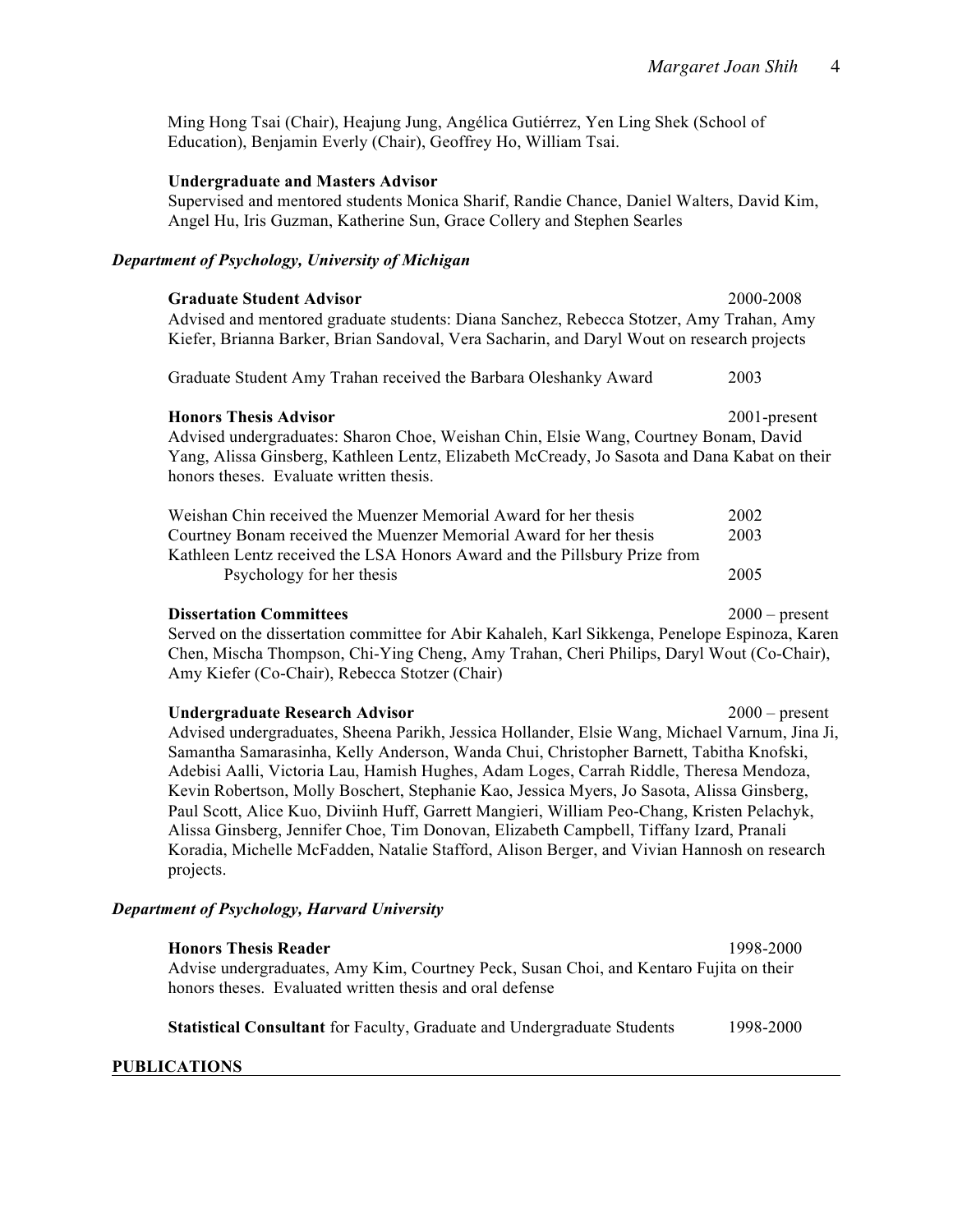Ming Hong Tsai (Chair), Heajung Jung, Angélica Gutiérrez, Yen Ling Shek (School of Education), Benjamin Everly (Chair), Geoffrey Ho, William Tsai.

## **Undergraduate and Masters Advisor**

Supervised and mentored students Monica Sharif, Randie Chance, Daniel Walters, David Kim, Angel Hu, Iris Guzman, Katherine Sun, Grace Collery and Stephen Searles

### *Department of Psychology, University of Michigan*

| <b>Graduate Student Advisor</b><br>Advised and mentored graduate students: Diana Sanchez, Rebecca Stotzer, Amy Trahan, Amy<br>Kiefer, Brianna Barker, Brian Sandoval, Vera Sacharin, and Daryl Wout on research projects                                                        | 2000-2008        |  |
|---------------------------------------------------------------------------------------------------------------------------------------------------------------------------------------------------------------------------------------------------------------------------------|------------------|--|
| Graduate Student Amy Trahan received the Barbara Oleshanky Award                                                                                                                                                                                                                | 2003             |  |
| <b>Honors Thesis Advisor</b><br>2001-present<br>Advised undergraduates: Sharon Choe, Weishan Chin, Elsie Wang, Courtney Bonam, David<br>Yang, Alissa Ginsberg, Kathleen Lentz, Elizabeth McCready, Jo Sasota and Dana Kabat on their<br>honors theses. Evaluate written thesis. |                  |  |
| Weishan Chin received the Muenzer Memorial Award for her thesis                                                                                                                                                                                                                 | 2002             |  |
| Courtney Bonam received the Muenzer Memorial Award for her thesis<br>Kathleen Lentz received the LSA Honors Award and the Pillsbury Prize from<br>Psychology for her thesis                                                                                                     | 2003<br>2005     |  |
| <b>Dissertation Committees</b><br>Served on the dissertation committee for Abir Kahaleh, Karl Sikkenga, Penelope Espinoza, Karen<br>Chen, Mischa Thompson, Chi-Ying Cheng, Amy Trahan, Cheri Philips, Daryl Wout (Co-Chair),<br>Amy Kiefer (Co-Chair), Rebecca Stotzer (Chair)  | $2000$ – present |  |

**Undergraduate Research Advisor** 2000 – present Advised undergraduates, Sheena Parikh, Jessica Hollander, Elsie Wang, Michael Varnum, Jina Ji, Samantha Samarasinha, Kelly Anderson, Wanda Chui, Christopher Barnett, Tabitha Knofski, Adebisi Aalli, Victoria Lau, Hamish Hughes, Adam Loges, Carrah Riddle, Theresa Mendoza, Kevin Robertson, Molly Boschert, Stephanie Kao, Jessica Myers, Jo Sasota, Alissa Ginsberg, Paul Scott, Alice Kuo, Diviinh Huff, Garrett Mangieri, William Peo-Chang, Kristen Pelachyk, Alissa Ginsberg, Jennifer Choe, Tim Donovan, Elizabeth Campbell, Tiffany Izard, Pranali Koradia, Michelle McFadden, Natalie Stafford, Alison Berger, and Vivian Hannosh on research projects.

# *Department of Psychology, Harvard University*

| <b>Honors Thesis Reader</b>                                                            | 1998-2000 |
|----------------------------------------------------------------------------------------|-----------|
| Advise undergraduates, Amy Kim, Courtney Peck, Susan Choi, and Kentaro Fujita on their |           |
| honors theses. Evaluated written thesis and oral defense                               |           |
|                                                                                        |           |
| <b>Statistical Consultant</b> for Faculty, Graduate and Undergraduate Students         | 1998-2000 |
|                                                                                        |           |

## **PUBLICATIONS**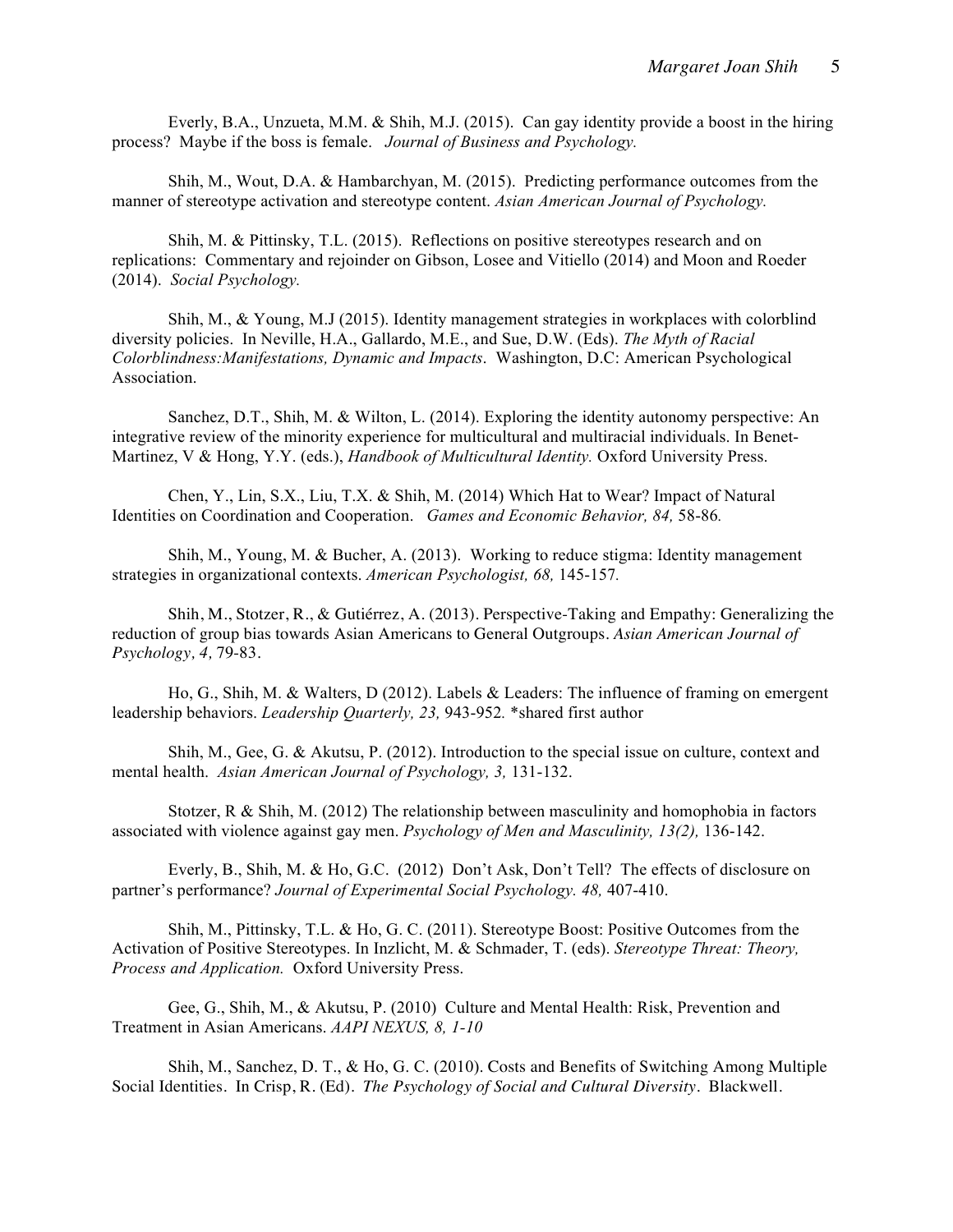Everly, B.A., Unzueta, M.M. & Shih, M.J. (2015). Can gay identity provide a boost in the hiring process? Maybe if the boss is female. *Journal of Business and Psychology.*

Shih, M., Wout, D.A. & Hambarchyan, M. (2015). Predicting performance outcomes from the manner of stereotype activation and stereotype content. *Asian American Journal of Psychology.* 

Shih, M. & Pittinsky, T.L. (2015). Reflections on positive stereotypes research and on replications: Commentary and rejoinder on Gibson, Losee and Vitiello (2014) and Moon and Roeder (2014). *Social Psychology.*

Shih, M., & Young, M.J (2015). Identity management strategies in workplaces with colorblind diversity policies. In Neville, H.A., Gallardo, M.E., and Sue, D.W. (Eds). *The Myth of Racial Colorblindness:Manifestations, Dynamic and Impacts*. Washington, D.C: American Psychological Association.

Sanchez, D.T., Shih, M. & Wilton, L. (2014). Exploring the identity autonomy perspective: An integrative review of the minority experience for multicultural and multiracial individuals. In Benet-Martinez, V & Hong, Y.Y. (eds.), *Handbook of Multicultural Identity.* Oxford University Press.

Chen, Y., Lin, S.X., Liu, T.X. & Shih, M. (2014) Which Hat to Wear? Impact of Natural Identities on Coordination and Cooperation. *Games and Economic Behavior, 84,* 58-86*.*

Shih, M., Young, M. & Bucher, A. (2013). Working to reduce stigma: Identity management strategies in organizational contexts. *American Psychologist, 68,* 145-157*.*

Shih, M., Stotzer, R., & Gutiérrez, A. (2013). Perspective-Taking and Empathy: Generalizing the reduction of group bias towards Asian Americans to General Outgroups. *Asian American Journal of Psychology, 4,* 79-83*.*

Ho, G., Shih, M. & Walters, D (2012). Labels & Leaders: The influence of framing on emergent leadership behaviors. *Leadership Quarterly, 23,* 943-952*.* \*shared first author

Shih, M., Gee, G. & Akutsu, P. (2012). Introduction to the special issue on culture, context and mental health. *Asian American Journal of Psychology, 3,* 131-132.

Stotzer,  $R \& Shih, M. (2012)$  The relationship between masculinity and homophobia in factors associated with violence against gay men. *Psychology of Men and Masculinity, 13(2),* 136-142.

Everly, B., Shih, M. & Ho, G.C. (2012) Don't Ask, Don't Tell? The effects of disclosure on partner's performance? *Journal of Experimental Social Psychology. 48,* 407-410.

Shih, M., Pittinsky, T.L. & Ho, G. C. (2011). Stereotype Boost: Positive Outcomes from the Activation of Positive Stereotypes. In Inzlicht, M. & Schmader, T. (eds). *Stereotype Threat: Theory, Process and Application.* Oxford University Press.

Gee, G., Shih, M., & Akutsu, P. (2010) Culture and Mental Health: Risk, Prevention and Treatment in Asian Americans. *AAPI NEXUS, 8, 1-10*

Shih, M., Sanchez, D. T., & Ho, G. C. (2010). Costs and Benefits of Switching Among Multiple Social Identities. In Crisp, R. (Ed). *The Psychology of Social and Cultural Diversity.* Blackwell.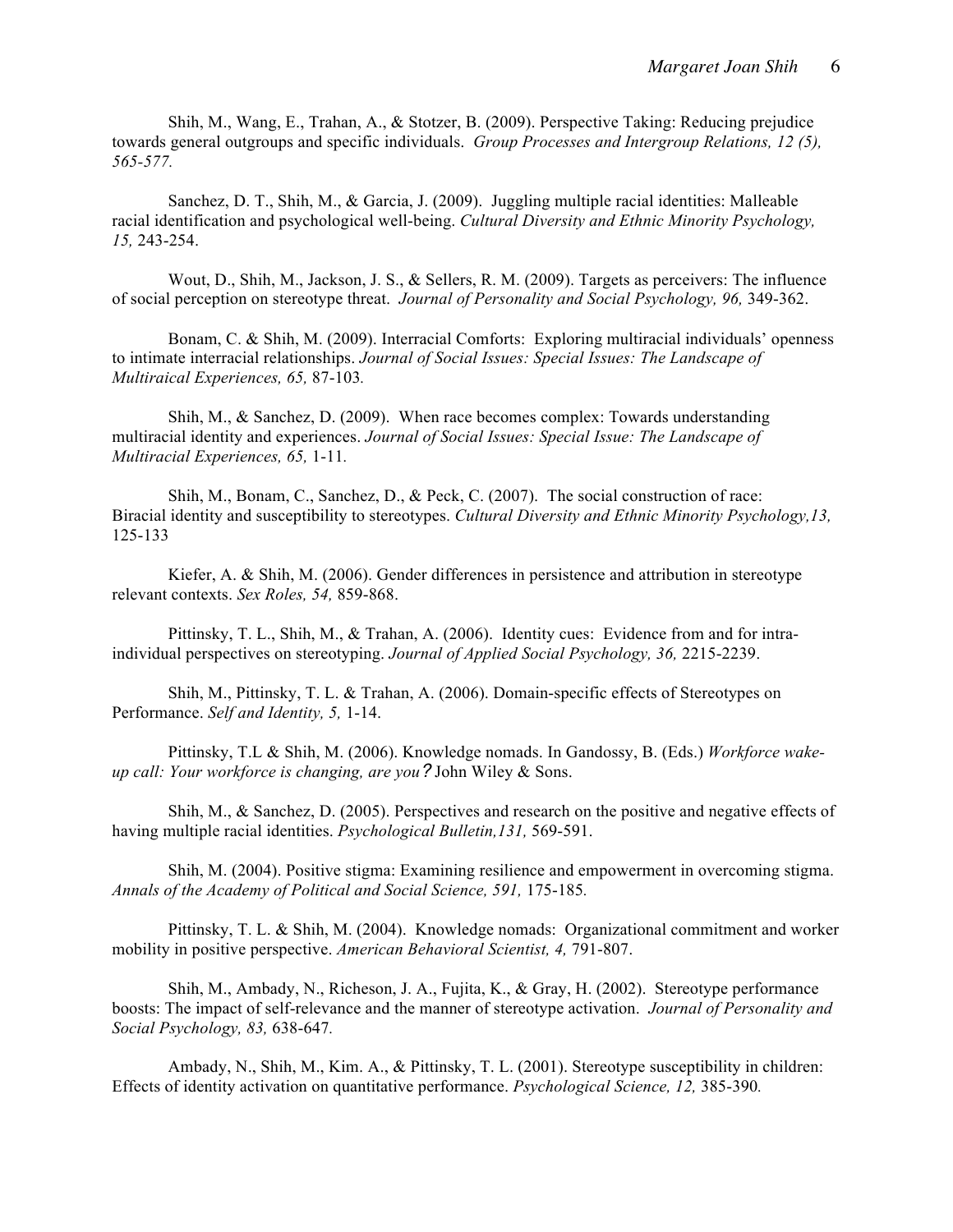Shih, M., Wang, E., Trahan, A., & Stotzer, B. (2009). Perspective Taking: Reducing prejudice towards general outgroups and specific individuals. *Group Processes and Intergroup Relations, 12 (5), 565-577.*

Sanchez, D. T., Shih, M., & Garcia, J. (2009). Juggling multiple racial identities: Malleable racial identification and psychological well-being. *Cultural Diversity and Ethnic Minority Psychology, 15,* 243-254.

Wout, D., Shih, M., Jackson, J. S., & Sellers, R. M. (2009). Targets as perceivers: The influence of social perception on stereotype threat. *Journal of Personality and Social Psychology, 96,* 349-362.

Bonam, C. & Shih, M. (2009). Interracial Comforts: Exploring multiracial individuals' openness to intimate interracial relationships. *Journal of Social Issues: Special Issues: The Landscape of Multiraical Experiences, 65,* 87-103*.*

Shih, M., & Sanchez, D. (2009). When race becomes complex: Towards understanding multiracial identity and experiences. *Journal of Social Issues: Special Issue: The Landscape of Multiracial Experiences, 65,* 1-11*.*

Shih, M., Bonam, C., Sanchez, D., & Peck, C. (2007). The social construction of race: Biracial identity and susceptibility to stereotypes. *Cultural Diversity and Ethnic Minority Psychology,13,*  125-133

Kiefer, A. & Shih, M. (2006). Gender differences in persistence and attribution in stereotype relevant contexts. *Sex Roles, 54,* 859-868.

Pittinsky, T. L., Shih, M., & Trahan, A. (2006). Identity cues: Evidence from and for intraindividual perspectives on stereotyping. *Journal of Applied Social Psychology, 36,* 2215-2239.

Shih, M., Pittinsky, T. L. & Trahan, A. (2006). Domain-specific effects of Stereotypes on Performance. *Self and Identity, 5,* 1-14.

Pittinsky, T.L & Shih, M. (2006). Knowledge nomads. In Gandossy, B. (Eds.) *Workforce wakeup call: Your workforce is changing, are you?* John Wiley & Sons.

Shih, M., & Sanchez, D. (2005). Perspectives and research on the positive and negative effects of having multiple racial identities. *Psychological Bulletin,131,* 569-591.

Shih, M. (2004). Positive stigma: Examining resilience and empowerment in overcoming stigma. *Annals of the Academy of Political and Social Science, 591,* 175-185*.*

Pittinsky, T. L. & Shih, M. (2004). Knowledge nomads: Organizational commitment and worker mobility in positive perspective. *American Behavioral Scientist, 4,* 791-807.

Shih, M., Ambady, N., Richeson, J. A., Fujita, K., & Gray, H. (2002). Stereotype performance boosts: The impact of self-relevance and the manner of stereotype activation. *Journal of Personality and Social Psychology, 83,* 638-647*.*

Ambady, N., Shih, M., Kim. A., & Pittinsky, T. L. (2001). Stereotype susceptibility in children: Effects of identity activation on quantitative performance. *Psychological Science, 12,* 385-390*.*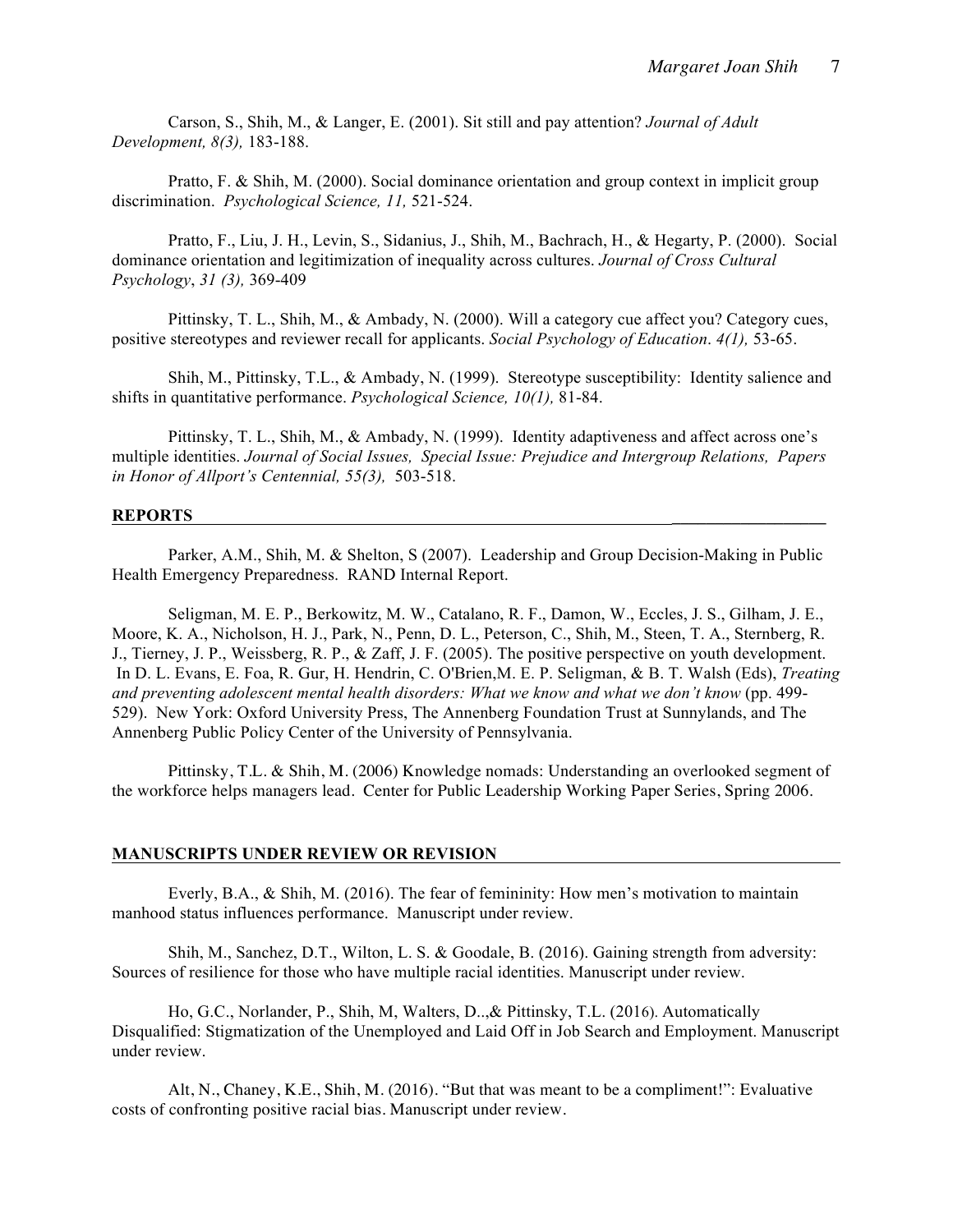Carson, S., Shih, M., & Langer, E. (2001). Sit still and pay attention? *Journal of Adult Development, 8(3),* 183-188.

Pratto, F. & Shih, M. (2000). Social dominance orientation and group context in implicit group discrimination. *Psychological Science, 11,* 521-524.

Pratto, F., Liu, J. H., Levin, S., Sidanius, J., Shih, M., Bachrach, H., & Hegarty, P. (2000). Social dominance orientation and legitimization of inequality across cultures. *Journal of Cross Cultural Psychology*, *31 (3),* 369-409

Pittinsky, T. L., Shih, M., & Ambady, N. (2000). Will a category cue affect you? Category cues, positive stereotypes and reviewer recall for applicants. *Social Psychology of Education*. *4(1),* 53-65.

Shih, M., Pittinsky, T.L., & Ambady, N. (1999). Stereotype susceptibility: Identity salience and shifts in quantitative performance. *Psychological Science, 10(1),* 81-84.

Pittinsky, T. L., Shih, M., & Ambady, N. (1999). Identity adaptiveness and affect across one's multiple identities. *Journal of Social Issues, Special Issue: Prejudice and Intergroup Relations, Papers in Honor of Allport's Centennial, 55(3),* 503-518.

#### **REPORTS \_\_\_\_\_\_\_\_\_\_\_\_\_\_\_\_\_\_**

Parker, A.M., Shih, M. & Shelton, S (2007). Leadership and Group Decision-Making in Public Health Emergency Preparedness. RAND Internal Report.

Seligman, M. E. P., Berkowitz, M. W., Catalano, R. F., Damon, W., Eccles, J. S., Gilham, J. E., Moore, K. A., Nicholson, H. J., Park, N., Penn, D. L., Peterson, C., Shih, M., Steen, T. A., Sternberg, R. J., Tierney, J. P., Weissberg, R. P., & Zaff, J. F. (2005). The positive perspective on youth development. In D. L. Evans, E. Foa, R. Gur, H. Hendrin, C. O'Brien,M. E. P. Seligman, & B. T. Walsh (Eds), *Treating and preventing adolescent mental health disorders: What we know and what we don't know* (pp. 499- 529). New York: Oxford University Press, The Annenberg Foundation Trust at Sunnylands, and The Annenberg Public Policy Center of the University of Pennsylvania.

Pittinsky, T.L. & Shih, M. (2006) Knowledge nomads: Understanding an overlooked segment of the workforce helps managers lead. Center for Public Leadership Working Paper Series, Spring 2006.

#### **MANUSCRIPTS UNDER REVIEW OR REVISION**

Everly, B.A., & Shih, M. (2016). The fear of femininity: How men's motivation to maintain manhood status influences performance. Manuscript under review.

Shih, M., Sanchez, D.T., Wilton, L. S. & Goodale, B. (2016). Gaining strength from adversity: Sources of resilience for those who have multiple racial identities. Manuscript under review.

Ho, G.C., Norlander, P., Shih, M, Walters, D..,& Pittinsky, T.L. (2016). Automatically Disqualified: Stigmatization of the Unemployed and Laid Off in Job Search and Employment. Manuscript under review.

Alt, N., Chaney, K.E., Shih, M. (2016). "But that was meant to be a compliment!": Evaluative costs of confronting positive racial bias. Manuscript under review.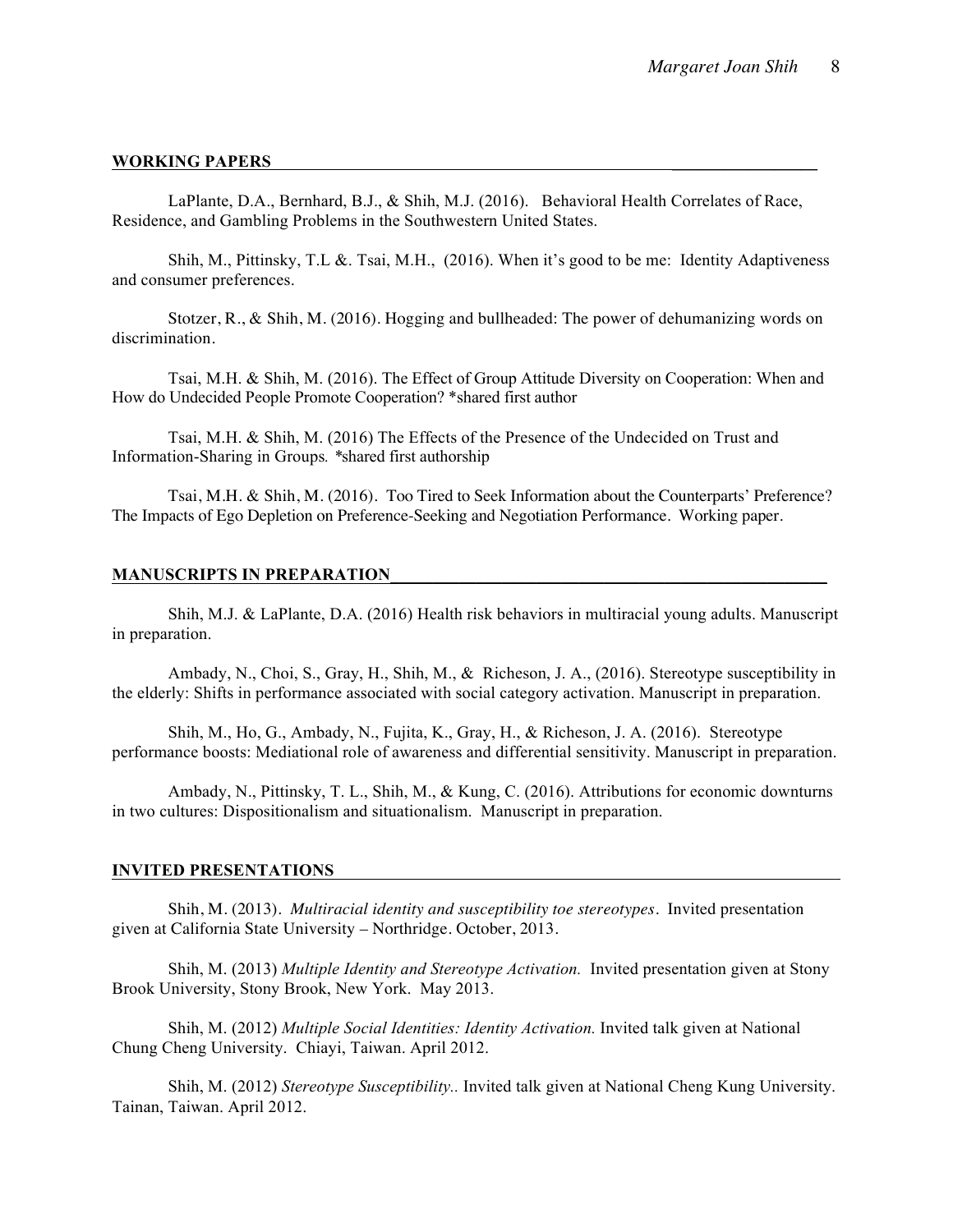#### **WORKING PAPERS \_\_\_\_\_\_\_\_\_\_\_\_\_\_\_\_\_**

LaPlante, D.A., Bernhard, B.J., & Shih, M.J. (2016). Behavioral Health Correlates of Race, Residence, and Gambling Problems in the Southwestern United States.

Shih, M., Pittinsky, T.L &. Tsai, M.H., (2016). When it's good to be me: Identity Adaptiveness and consumer preferences.

Stotzer, R., & Shih, M. (2016). Hogging and bullheaded: The power of dehumanizing words on discrimination.

Tsai, M.H. & Shih, M. (2016). The Effect of Group Attitude Diversity on Cooperation: When and How do Undecided People Promote Cooperation? \*shared first author

Tsai, M.H. & Shih, M. (2016) The Effects of the Presence of the Undecided on Trust and Information-Sharing in Groups*. \**shared first authorship

Tsai, M.H. & Shih, M. (2016). Too Tired to Seek Information about the Counterparts' Preference? The Impacts of Ego Depletion on Preference-Seeking and Negotiation Performance. Working paper.

#### **MANUSCRIPTS IN PREPARATION\_\_\_\_\_\_\_\_\_\_\_\_\_\_\_\_\_\_\_\_\_\_\_\_\_\_\_\_\_\_\_\_\_\_\_\_\_\_\_\_\_\_\_\_\_\_\_\_\_\_\_**

Shih, M.J. & LaPlante, D.A. (2016) Health risk behaviors in multiracial young adults. Manuscript in preparation.

Ambady, N., Choi, S., Gray, H., Shih, M., & Richeson, J. A., (2016). Stereotype susceptibility in the elderly: Shifts in performance associated with social category activation. Manuscript in preparation.

Shih, M., Ho, G., Ambady, N., Fujita, K., Gray, H., & Richeson, J. A. (2016). Stereotype performance boosts: Mediational role of awareness and differential sensitivity. Manuscript in preparation.

Ambady, N., Pittinsky, T. L., Shih, M., & Kung, C. (2016). Attributions for economic downturns in two cultures: Dispositionalism and situationalism. Manuscript in preparation.

#### **INVITED PRESENTATIONS**

Shih, M. (2013). *Multiracial identity and susceptibility toe stereotypes.* Invited presentation given at California State University – Northridge. October, 2013.

Shih, M. (2013) *Multiple Identity and Stereotype Activation.* Invited presentation given at Stony Brook University, Stony Brook, New York. May 2013.

Shih, M. (2012) *Multiple Social Identities: Identity Activation.* Invited talk given at National Chung Cheng University. Chiayi, Taiwan. April 2012.

Shih, M. (2012) *Stereotype Susceptibility..* Invited talk given at National Cheng Kung University. Tainan, Taiwan. April 2012.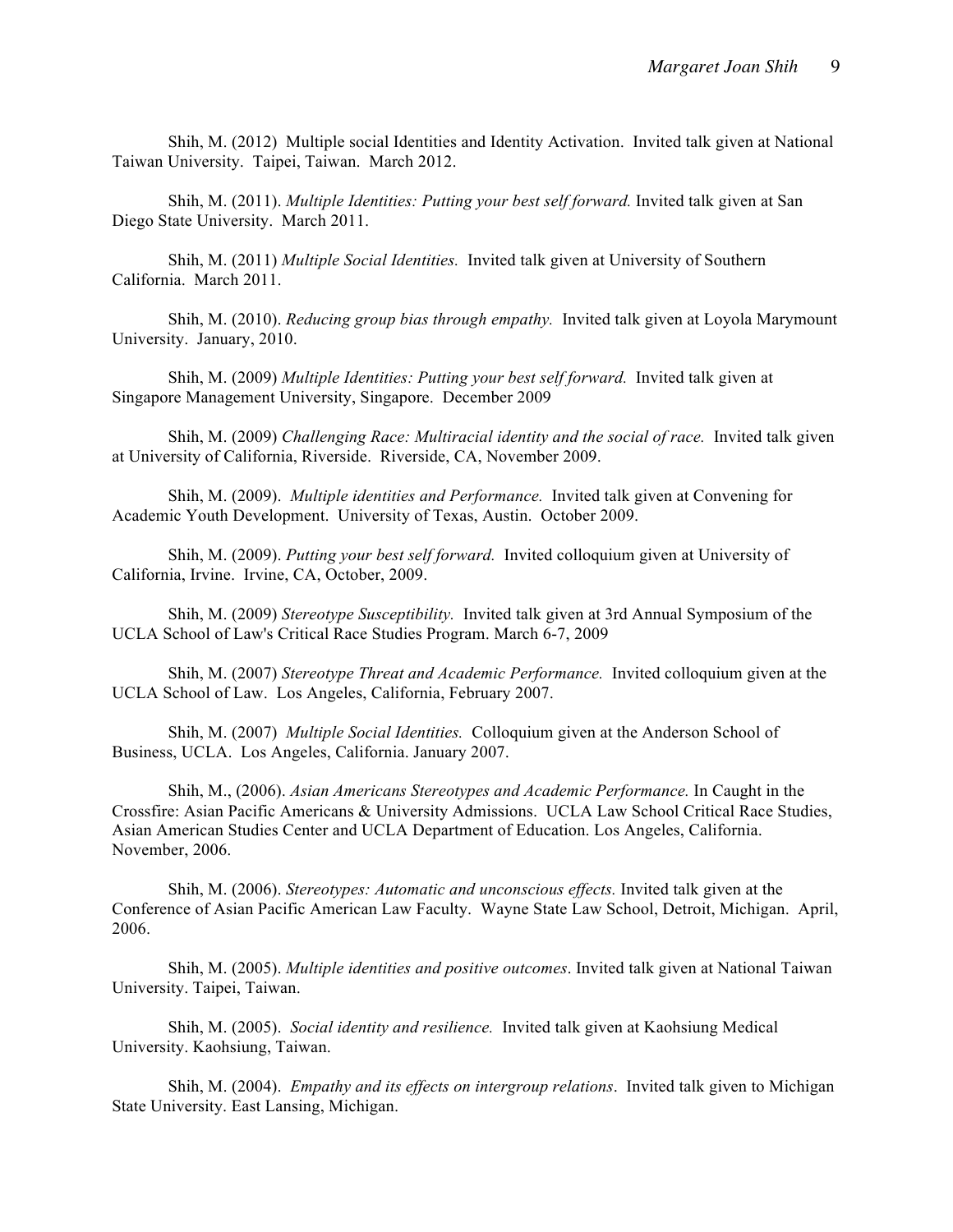Shih, M. (2012) Multiple social Identities and Identity Activation. Invited talk given at National Taiwan University. Taipei, Taiwan. March 2012.

Shih, M. (2011). *Multiple Identities: Putting your best self forward.* Invited talk given at San Diego State University. March 2011.

Shih, M. (2011) *Multiple Social Identities.* Invited talk given at University of Southern California. March 2011.

Shih, M. (2010). *Reducing group bias through empathy.* Invited talk given at Loyola Marymount University. January, 2010.

Shih, M. (2009) *Multiple Identities: Putting your best self forward.* Invited talk given at Singapore Management University, Singapore. December 2009

Shih, M. (2009) *Challenging Race: Multiracial identity and the social of race.* Invited talk given at University of California, Riverside. Riverside, CA, November 2009.

Shih, M. (2009). *Multiple identities and Performance.* Invited talk given at Convening for Academic Youth Development. University of Texas, Austin. October 2009.

Shih, M. (2009). *Putting your best self forward.* Invited colloquium given at University of California, Irvine. Irvine, CA, October, 2009.

Shih, M. (2009) *Stereotype Susceptibility.* Invited talk given at 3rd Annual Symposium of the UCLA School of Law's Critical Race Studies Program. March 6-7, 2009

Shih, M. (2007) *Stereotype Threat and Academic Performance.* Invited colloquium given at the UCLA School of Law. Los Angeles, California, February 2007.

Shih, M. (2007) *Multiple Social Identities.* Colloquium given at the Anderson School of Business, UCLA. Los Angeles, California. January 2007.

Shih, M., (2006). *Asian Americans Stereotypes and Academic Performance.* In Caught in the Crossfire: Asian Pacific Americans & University Admissions. UCLA Law School Critical Race Studies, Asian American Studies Center and UCLA Department of Education. Los Angeles, California. November, 2006.

Shih, M. (2006). *Stereotypes: Automatic and unconscious effects.* Invited talk given at the Conference of Asian Pacific American Law Faculty. Wayne State Law School, Detroit, Michigan. April, 2006.

Shih, M. (2005). *Multiple identities and positive outcomes*. Invited talk given at National Taiwan University. Taipei, Taiwan.

Shih, M. (2005). *Social identity and resilience.* Invited talk given at Kaohsiung Medical University. Kaohsiung, Taiwan.

Shih, M. (2004). *Empathy and its effects on intergroup relations*. Invited talk given to Michigan State University. East Lansing, Michigan.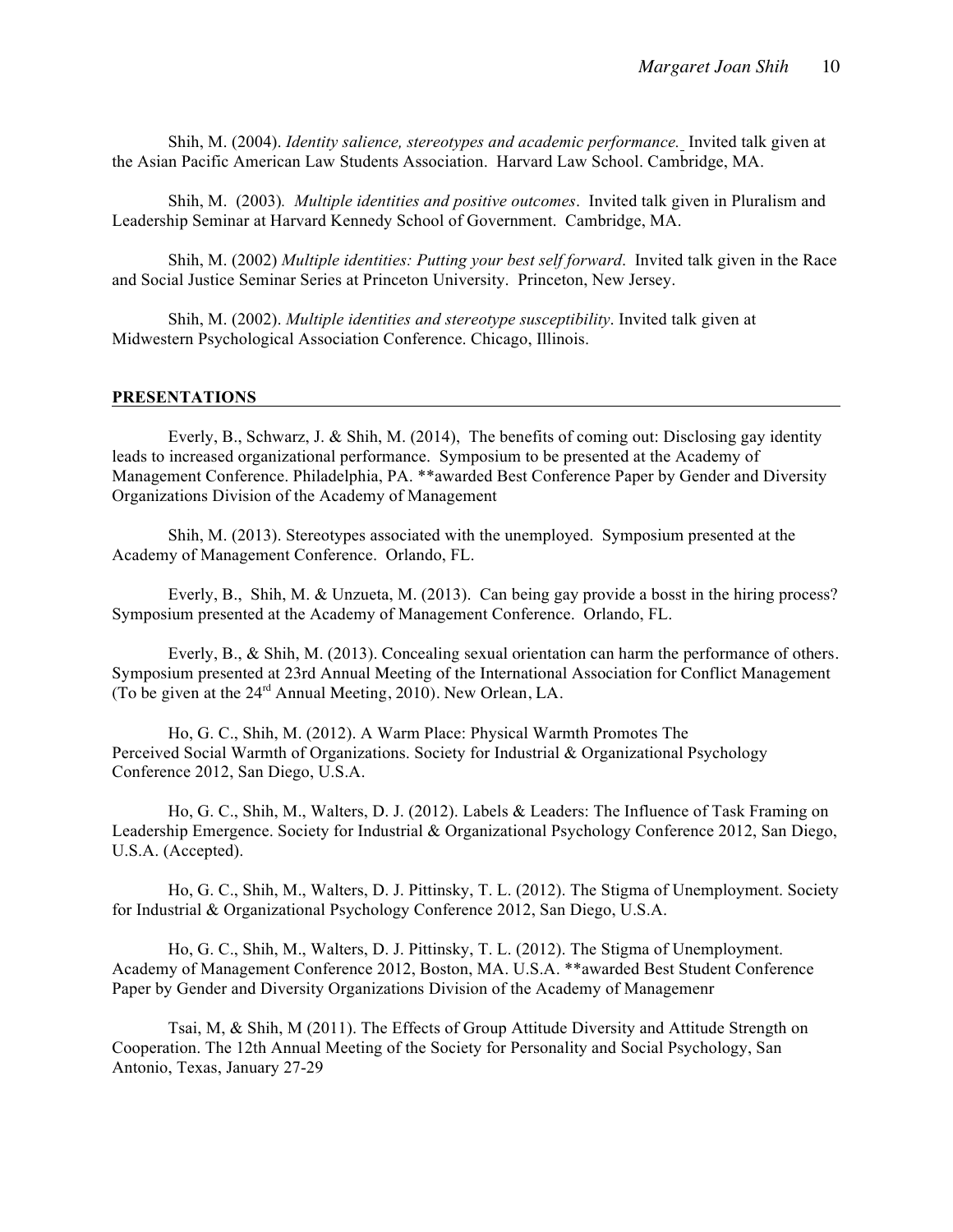Shih, M. (2004). *Identity salience, stereotypes and academic performance.* Invited talk given at the Asian Pacific American Law Students Association. Harvard Law School. Cambridge, MA.

Shih, M. (2003)*. Multiple identities and positive outcomes*. Invited talk given in Pluralism and Leadership Seminar at Harvard Kennedy School of Government. Cambridge, MA.

Shih, M. (2002) *Multiple identities: Putting your best self forward*. Invited talk given in the Race and Social Justice Seminar Series at Princeton University. Princeton, New Jersey.

Shih, M. (2002). *Multiple identities and stereotype susceptibility*. Invited talk given at Midwestern Psychological Association Conference. Chicago, Illinois.

#### **PRESENTATIONS**

Everly, B., Schwarz, J. & Shih, M. (2014), The benefits of coming out: Disclosing gay identity leads to increased organizational performance. Symposium to be presented at the Academy of Management Conference. Philadelphia, PA. \*\*awarded Best Conference Paper by Gender and Diversity Organizations Division of the Academy of Management

Shih, M. (2013). Stereotypes associated with the unemployed. Symposium presented at the Academy of Management Conference. Orlando, FL.

Everly, B., Shih, M. & Unzueta, M. (2013). Can being gay provide a bosst in the hiring process? Symposium presented at the Academy of Management Conference. Orlando, FL.

Everly, B., & Shih, M. (2013). Concealing sexual orientation can harm the performance of others. Symposium presented at 23rd Annual Meeting of the International Association for Conflict Management (To be given at the 24rd Annual Meeting, 2010). New Orlean, LA.

Ho, G. C., Shih, M. (2012). A Warm Place: Physical Warmth Promotes The Perceived Social Warmth of Organizations. Society for Industrial & Organizational Psychology Conference 2012, San Diego, U.S.A.

Ho, G. C., Shih, M., Walters, D. J. (2012). Labels & Leaders: The Influence of Task Framing on Leadership Emergence. Society for Industrial & Organizational Psychology Conference 2012, San Diego, U.S.A. (Accepted).

Ho, G. C., Shih, M., Walters, D. J. Pittinsky, T. L. (2012). The Stigma of Unemployment. Society for Industrial & Organizational Psychology Conference 2012, San Diego, U.S.A.

Ho, G. C., Shih, M., Walters, D. J. Pittinsky, T. L. (2012). The Stigma of Unemployment. Academy of Management Conference 2012, Boston, MA. U.S.A. \*\*awarded Best Student Conference Paper by Gender and Diversity Organizations Division of the Academy of Managemenr

Tsai, M, & Shih, M (2011). The Effects of Group Attitude Diversity and Attitude Strength on Cooperation. The 12th Annual Meeting of the Society for Personality and Social Psychology, San Antonio, Texas, January 27-29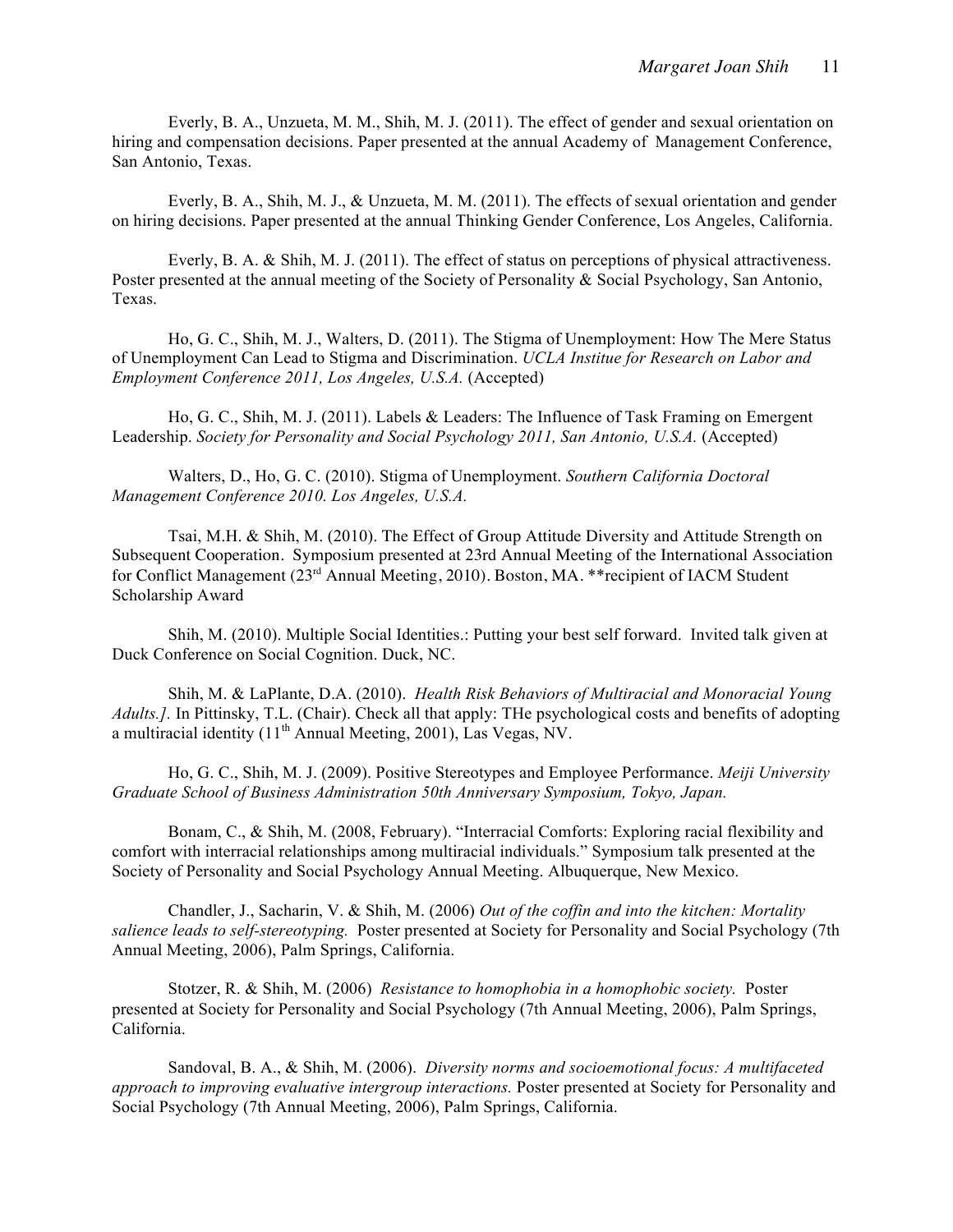Everly, B. A., Unzueta, M. M., Shih, M. J. (2011). The effect of gender and sexual orientation on hiring and compensation decisions. Paper presented at the annual Academy of Management Conference, San Antonio, Texas.

Everly, B. A., Shih, M. J., & Unzueta, M. M. (2011). The effects of sexual orientation and gender on hiring decisions. Paper presented at the annual Thinking Gender Conference, Los Angeles, California.

Everly, B. A. & Shih, M. J. (2011). The effect of status on perceptions of physical attractiveness. Poster presented at the annual meeting of the Society of Personality & Social Psychology, San Antonio, Texas.

Ho, G. C., Shih, M. J., Walters, D. (2011). The Stigma of Unemployment: How The Mere Status of Unemployment Can Lead to Stigma and Discrimination. *UCLA Institue for Research on Labor and Employment Conference 2011, Los Angeles, U.S.A.* (Accepted)

Ho, G. C., Shih, M. J. (2011). Labels & Leaders: The Influence of Task Framing on Emergent Leadership. *Society for Personality and Social Psychology 2011, San Antonio, U.S.A.* (Accepted)

Walters, D., Ho, G. C. (2010). Stigma of Unemployment. *Southern California Doctoral Management Conference 2010. Los Angeles, U.S.A.*

Tsai, M.H. & Shih, M. (2010). The Effect of Group Attitude Diversity and Attitude Strength on Subsequent Cooperation. Symposium presented at 23rd Annual Meeting of the International Association for Conflict Management (23<sup>rd</sup> Annual Meeting, 2010). Boston, MA. \*\* recipient of IACM Student Scholarship Award

Shih, M. (2010). Multiple Social Identities.: Putting your best self forward. Invited talk given at Duck Conference on Social Cognition. Duck, NC.

Shih, M. & LaPlante, D.A. (2010). *Health Risk Behaviors of Multiracial and Monoracial Young Adults.].* In Pittinsky, T.L. (Chair). Check all that apply: THe psychological costs and benefits of adopting a multiracial identity  $(11<sup>th</sup>$  Annual Meeting, 2001), Las Vegas, NV.

Ho, G. C., Shih, M. J. (2009). Positive Stereotypes and Employee Performance. *Meiji University Graduate School of Business Administration 50th Anniversary Symposium, Tokyo, Japan.*

Bonam, C., & Shih, M. (2008, February). "Interracial Comforts: Exploring racial flexibility and comfort with interracial relationships among multiracial individuals." Symposium talk presented at the Society of Personality and Social Psychology Annual Meeting. Albuquerque, New Mexico.

Chandler, J., Sacharin, V. & Shih, M. (2006) *Out of the coffin and into the kitchen: Mortality salience leads to self-stereotyping.* Poster presented at Society for Personality and Social Psychology (7th Annual Meeting, 2006), Palm Springs, California.

Stotzer, R. & Shih, M. (2006) *Resistance to homophobia in a homophobic society.* Poster presented at Society for Personality and Social Psychology (7th Annual Meeting, 2006), Palm Springs, California.

Sandoval, B. A., & Shih, M. (2006). *Diversity norms and socioemotional focus: A multifaceted approach to improving evaluative intergroup interactions.* Poster presented at Society for Personality and Social Psychology (7th Annual Meeting, 2006), Palm Springs, California.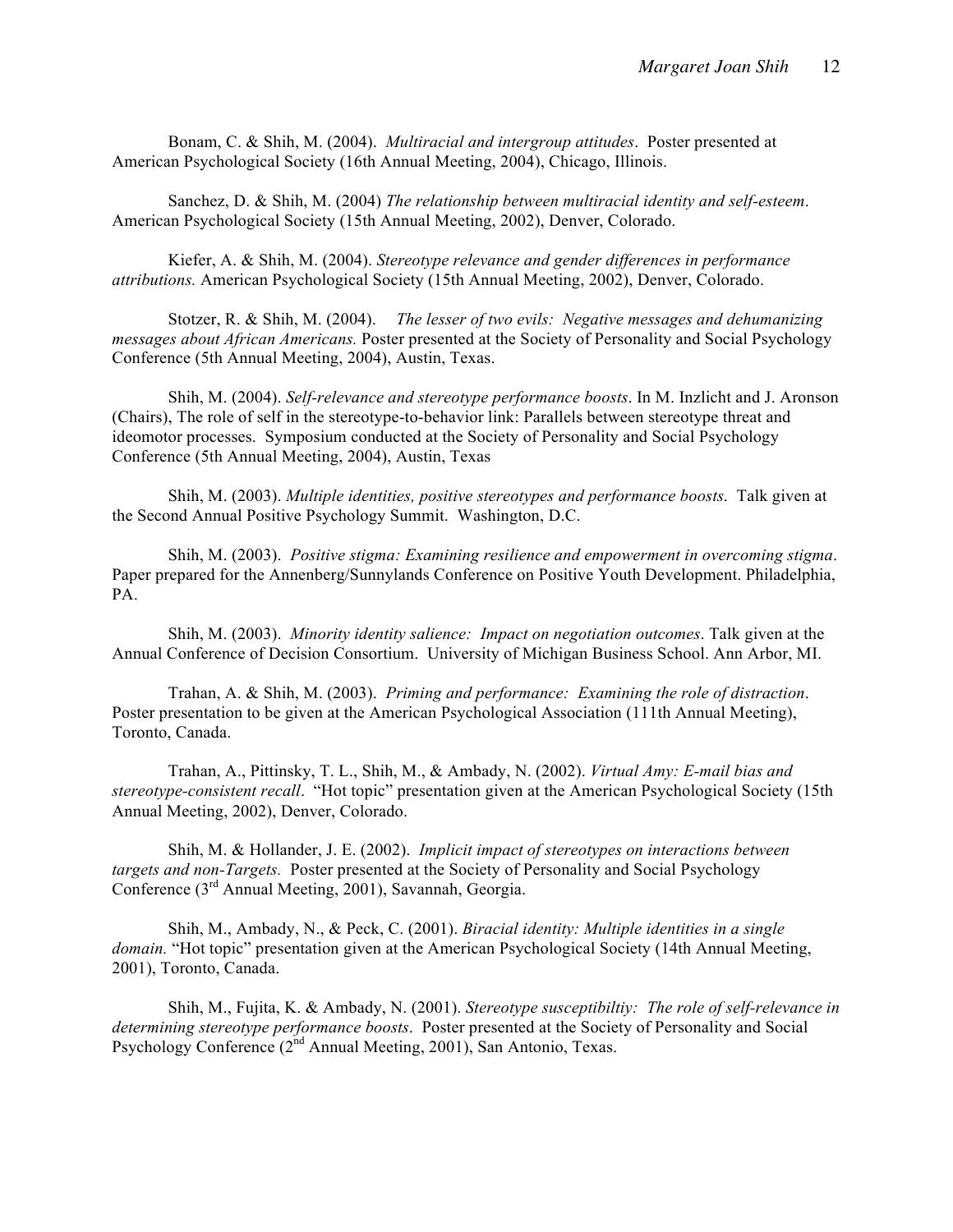Bonam, C. & Shih, M. (2004). *Multiracial and intergroup attitudes*. Poster presented at American Psychological Society (16th Annual Meeting, 2004), Chicago, Illinois.

Sanchez, D. & Shih, M. (2004) *The relationship between multiracial identity and self-esteem*. American Psychological Society (15th Annual Meeting, 2002), Denver, Colorado.

Kiefer, A. & Shih, M. (2004). *Stereotype relevance and gender differences in performance attributions.* American Psychological Society (15th Annual Meeting, 2002), Denver, Colorado.

Stotzer, R. & Shih, M. (2004). *The lesser of two evils: Negative messages and dehumanizing messages about African Americans.* Poster presented at the Society of Personality and Social Psychology Conference (5th Annual Meeting, 2004), Austin, Texas.

Shih, M. (2004). *Self-relevance and stereotype performance boosts*. In M. Inzlicht and J. Aronson (Chairs), The role of self in the stereotype-to-behavior link: Parallels between stereotype threat and ideomotor processes. Symposium conducted at the Society of Personality and Social Psychology Conference (5th Annual Meeting, 2004), Austin, Texas

Shih, M. (2003). *Multiple identities, positive stereotypes and performance boosts*. Talk given at the Second Annual Positive Psychology Summit. Washington, D.C.

Shih, M. (2003). *Positive stigma: Examining resilience and empowerment in overcoming stigma*. Paper prepared for the Annenberg/Sunnylands Conference on Positive Youth Development. Philadelphia, PA.

Shih, M. (2003). *Minority identity salience: Impact on negotiation outcomes*. Talk given at the Annual Conference of Decision Consortium. University of Michigan Business School. Ann Arbor, MI.

Trahan, A. & Shih, M. (2003). *Priming and performance: Examining the role of distraction*. Poster presentation to be given at the American Psychological Association (111th Annual Meeting), Toronto, Canada.

Trahan, A., Pittinsky, T. L., Shih, M., & Ambady, N. (2002). *Virtual Amy: E-mail bias and stereotype-consistent recall*. "Hot topic" presentation given at the American Psychological Society (15th Annual Meeting, 2002), Denver, Colorado.

Shih, M. & Hollander, J. E. (2002). *Implicit impact of stereotypes on interactions between targets and non-Targets.* Poster presented at the Society of Personality and Social Psychology Conference (3rd Annual Meeting, 2001), Savannah, Georgia.

Shih, M., Ambady, N., & Peck, C. (2001). *Biracial identity: Multiple identities in a single domain.* "Hot topic" presentation given at the American Psychological Society (14th Annual Meeting, 2001), Toronto, Canada.

Shih, M., Fujita, K. & Ambady, N. (2001). *Stereotype susceptibiltiy: The role of self-relevance in determining stereotype performance boosts*. Poster presented at the Society of Personality and Social Psychology Conference (2<sup>nd</sup> Annual Meeting, 2001), San Antonio, Texas.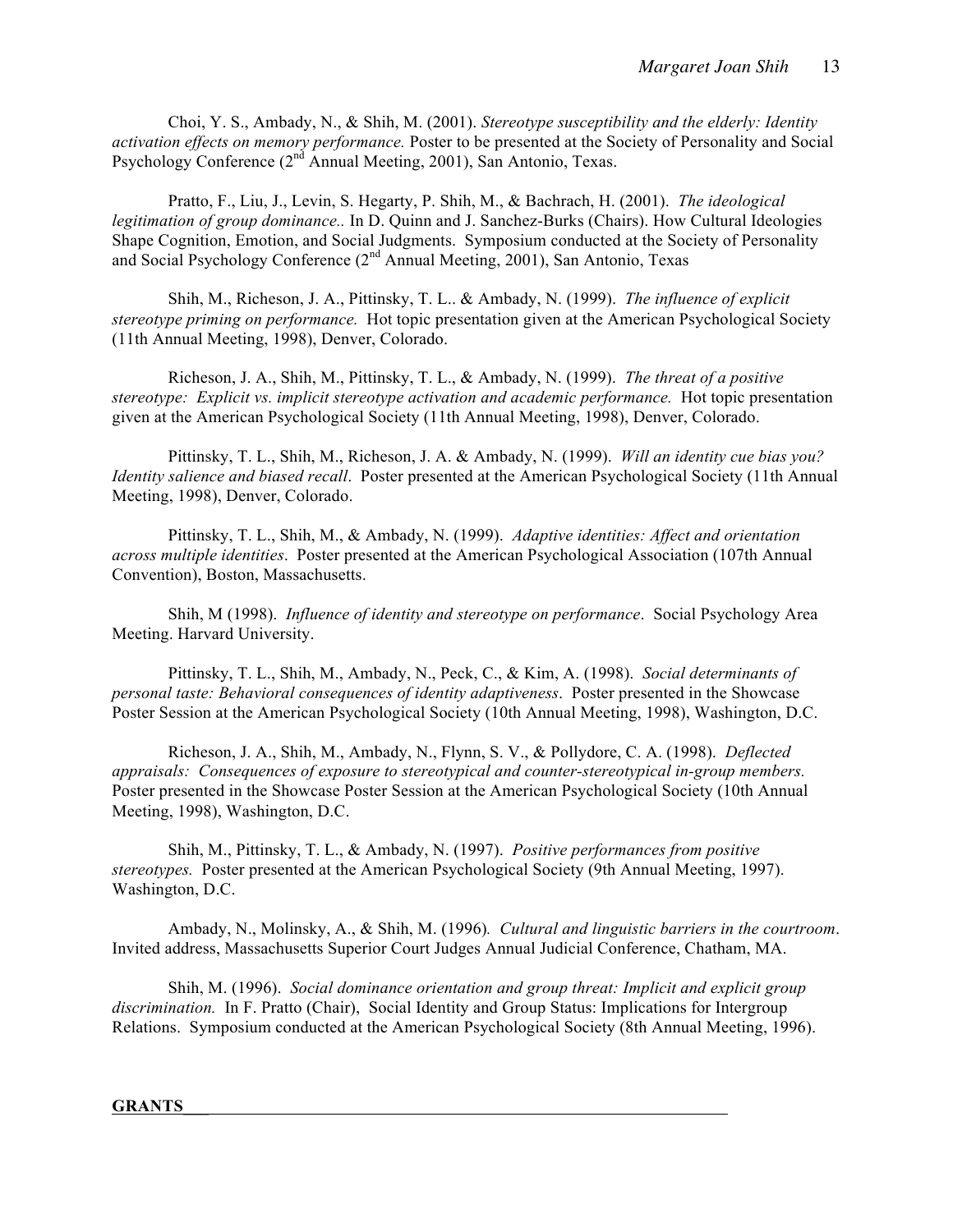Choi, Y. S., Ambady, N., & Shih, M. (2001). *Stereotype susceptibility and the elderly: Identity activation effects on memory performance.* Poster to be presented at the Society of Personality and Social Psychology Conference  $(2^{nd}$  Annual Meeting, 2001), San Antonio, Texas.

Pratto, F., Liu, J., Levin, S. Hegarty, P. Shih, M., & Bachrach, H. (2001). *The ideological legitimation of group dominance..* In D. Quinn and J. Sanchez-Burks (Chairs). How Cultural Ideologies Shape Cognition, Emotion, and Social Judgments. Symposium conducted at the Society of Personality and Social Psychology Conference (2nd Annual Meeting, 2001), San Antonio, Texas

Shih, M., Richeson, J. A., Pittinsky, T. L.. & Ambady, N. (1999). *The influence of explicit stereotype priming on performance.* Hot topic presentation given at the American Psychological Society (11th Annual Meeting, 1998), Denver, Colorado.

Richeson, J. A., Shih, M., Pittinsky, T. L., & Ambady, N. (1999). *The threat of a positive stereotype: Explicit vs. implicit stereotype activation and academic performance.* Hot topic presentation given at the American Psychological Society (11th Annual Meeting, 1998), Denver, Colorado.

Pittinsky, T. L., Shih, M., Richeson, J. A. & Ambady, N. (1999). *Will an identity cue bias you? Identity salience and biased recall*. Poster presented at the American Psychological Society (11th Annual Meeting, 1998), Denver, Colorado.

Pittinsky, T. L., Shih, M., & Ambady, N. (1999). *Adaptive identities: Affect and orientation across multiple identities*. Poster presented at the American Psychological Association (107th Annual Convention), Boston, Massachusetts.

Shih, M (1998). *Influence of identity and stereotype on performance*. Social Psychology Area Meeting. Harvard University.

Pittinsky, T. L., Shih, M., Ambady, N., Peck, C., & Kim, A. (1998). *Social determinants of personal taste: Behavioral consequences of identity adaptiveness*. Poster presented in the Showcase Poster Session at the American Psychological Society (10th Annual Meeting, 1998), Washington, D.C.

Richeson, J. A., Shih, M., Ambady, N., Flynn, S. V., & Pollydore, C. A. (1998). *Deflected appraisals: Consequences of exposure to stereotypical and counter-stereotypical in-group members.* Poster presented in the Showcase Poster Session at the American Psychological Society (10th Annual Meeting, 1998), Washington, D.C.

Shih, M., Pittinsky, T. L., & Ambady, N. (1997). *Positive performances from positive stereotypes.* Poster presented at the American Psychological Society (9th Annual Meeting, 1997). Washington, D.C.

Ambady, N., Molinsky, A., & Shih, M. (1996)*. Cultural and linguistic barriers in the courtroom*. Invited address, Massachusetts Superior Court Judges Annual Judicial Conference, Chatham, MA.

Shih, M. (1996). *Social dominance orientation and group threat: Implicit and explicit group discrimination.* In F. Pratto (Chair), Social Identity and Group Status: Implications for Intergroup Relations. Symposium conducted at the American Psychological Society (8th Annual Meeting, 1996).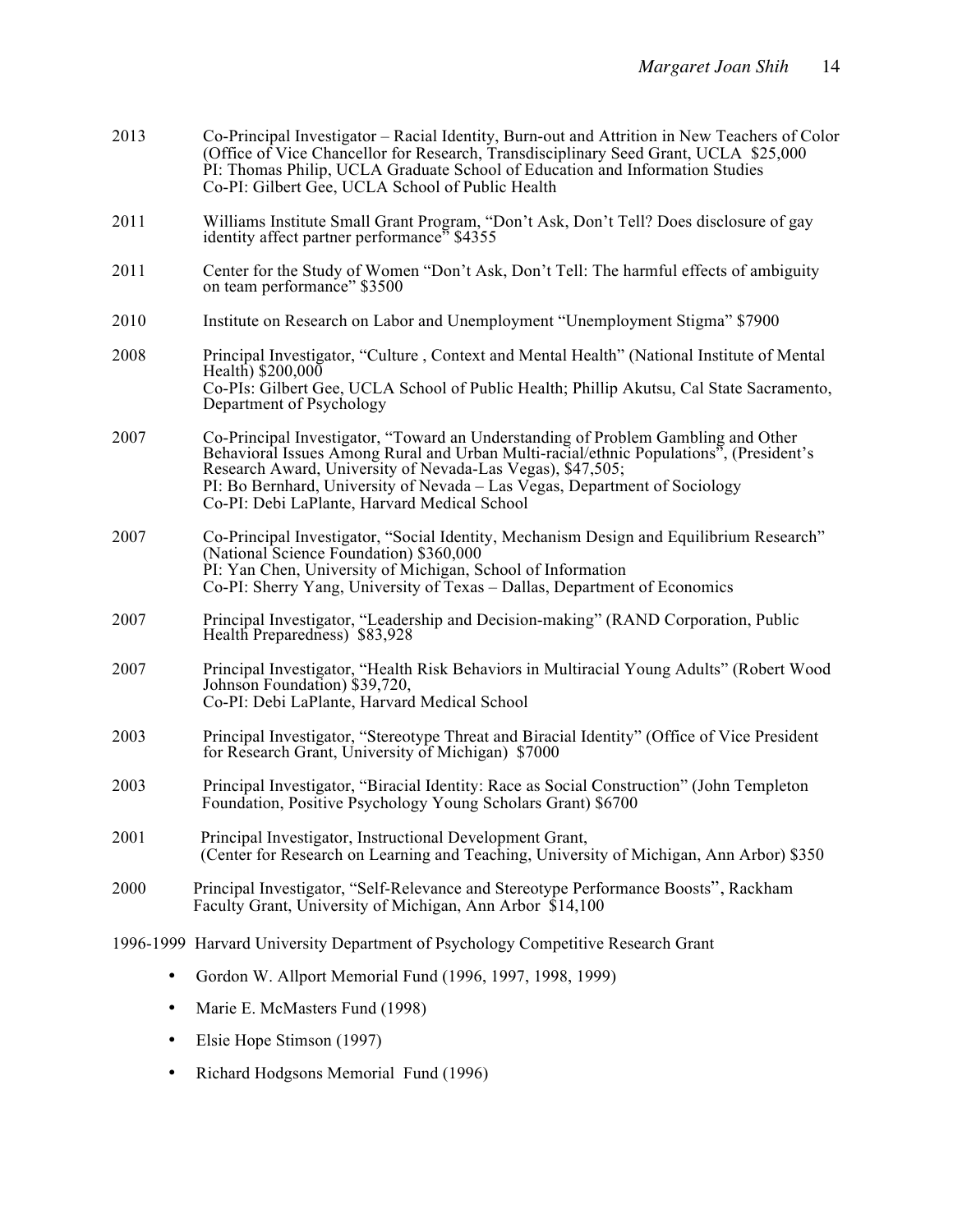| 2013 | Co-Principal Investigator – Racial Identity, Burn-out and Attrition in New Teachers of Color<br>(Office of Vice Chancellor for Research, Transdisciplinary Seed Grant, UCLA \$25,000)<br>PI: Thomas Philip, UCLA Graduate School of Education and Information Studies<br>Co-PI: Gilbert Gee, UCLA School of Public Health                                            |
|------|----------------------------------------------------------------------------------------------------------------------------------------------------------------------------------------------------------------------------------------------------------------------------------------------------------------------------------------------------------------------|
| 2011 | Williams Institute Small Grant Program, "Don't Ask, Don't Tell? Does disclosure of gay<br>identity affect partner performance <sup>5</sup> \$4355                                                                                                                                                                                                                    |
| 2011 | Center for the Study of Women "Don't Ask, Don't Tell: The harmful effects of ambiguity<br>on team performance" \$3500                                                                                                                                                                                                                                                |
| 2010 | Institute on Research on Labor and Unemployment "Unemployment Stigma" \$7900                                                                                                                                                                                                                                                                                         |
| 2008 | Principal Investigator, "Culture, Context and Mental Health" (National Institute of Mental<br>Health) $$200,000$<br>Co-PIs: Gilbert Gee, UCLA School of Public Health; Phillip Akutsu, Cal State Sacramento,<br>Department of Psychology                                                                                                                             |
| 2007 | Co-Principal Investigator, "Toward an Understanding of Problem Gambling and Other Behavioral Issues Among Rural and Urban Multi-racial/ethnic Populations", (President's<br>Research Award, University of Nevada-Las Vegas), \$47,505;<br>PI: Bo Bernhard, University of Nevada - Las Vegas, Department of Sociology<br>Co-PI: Debi LaPlante, Harvard Medical School |
| 2007 | Co-Principal Investigator, "Social Identity, Mechanism Design and Equilibrium Research"<br>(National Science Foundation) \$360,000<br>PI: Yan Chen, University of Michigan, School of Information<br>Co-PI: Sherry Yang, University of Texas – Dallas, Department of Economics                                                                                       |
| 2007 | Principal Investigator, "Leadership and Decision-making" (RAND Corporation, Public<br>Health Preparedness) \$83,928                                                                                                                                                                                                                                                  |
| 2007 | Principal Investigator, "Health Risk Behaviors in Multiracial Young Adults" (Robert Wood<br>Johnson Foundation) \$39,720,<br>Co-PI: Debi LaPlante, Harvard Medical School                                                                                                                                                                                            |
| 2003 | Principal Investigator, "Stereotype Threat and Biracial Identity" (Office of Vice President<br>for Research Grant, University of Michigan) \$7000                                                                                                                                                                                                                    |
| 2003 | Principal Investigator, "Biracial Identity: Race as Social Construction" (John Templeton<br>Foundation, Positive Psychology Young Scholars Grant) \$6700                                                                                                                                                                                                             |
| 2001 | Principal Investigator, Instructional Development Grant,<br>(Center for Research on Learning and Teaching, University of Michigan, Ann Arbor) \$350                                                                                                                                                                                                                  |
| 2000 | Principal Investigator, "Self-Relevance and Stereotype Performance Boosts", Rackham<br>Faculty Grant, University of Michigan, Ann Arbor \$14,100                                                                                                                                                                                                                     |
|      | 1996-1999 Harvard University Department of Psychology Competitive Research Grant                                                                                                                                                                                                                                                                                     |
| ٠    | Gordon W. Allport Memorial Fund (1996, 1997, 1998, 1999)                                                                                                                                                                                                                                                                                                             |

- Marie E. McMasters Fund (1998)
- Elsie Hope Stimson (1997)
- Richard Hodgsons Memorial Fund (1996)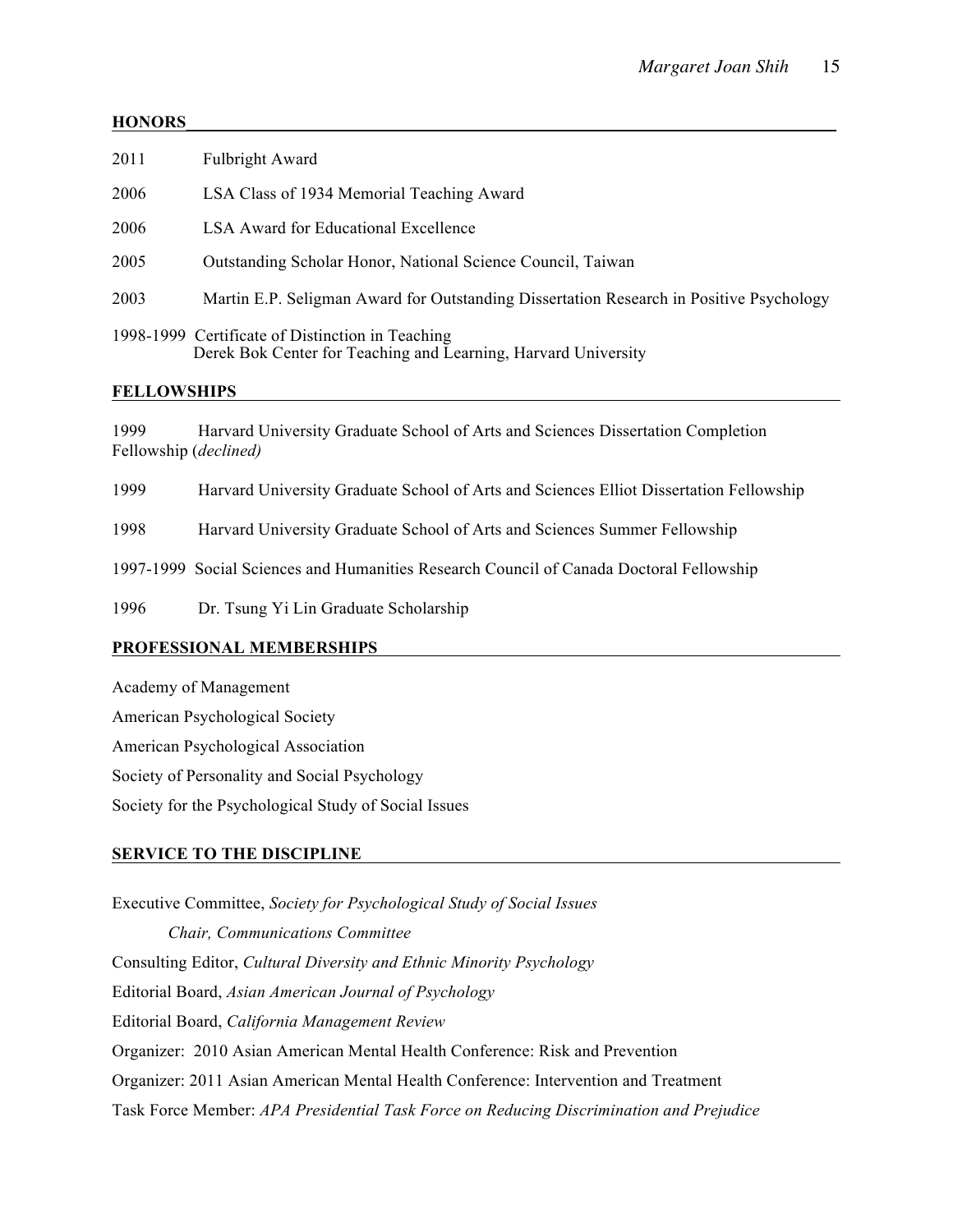# **HONORS**

| 2011 | <b>Fulbright Award</b>                                                                                             |
|------|--------------------------------------------------------------------------------------------------------------------|
| 2006 | LSA Class of 1934 Memorial Teaching Award                                                                          |
| 2006 | <b>LSA Award for Educational Excellence</b>                                                                        |
| 2005 | Outstanding Scholar Honor, National Science Council, Taiwan                                                        |
| 2003 | Martin E.P. Seligman Award for Outstanding Dissertation Research in Positive Psychology                            |
|      | 1998-1999 Certificate of Distinction in Teaching<br>Derek Bok Center for Teaching and Learning, Harvard University |

# **FELLOWSHIPS**

1999 Harvard University Graduate School of Arts and Sciences Dissertation Completion Fellowship (*declined)*

1999 Harvard University Graduate School of Arts and Sciences Elliot Dissertation Fellowship

1998 Harvard University Graduate School of Arts and Sciences Summer Fellowship

1997-1999 Social Sciences and Humanities Research Council of Canada Doctoral Fellowship

1996 Dr. Tsung Yi Lin Graduate Scholarship

## **PROFESSIONAL MEMBERSHIPS**

Academy of Management

American Psychological Society

American Psychological Association

Society of Personality and Social Psychology

Society for the Psychological Study of Social Issues

## **SERVICE TO THE DISCIPLINE**

Executive Committee, *Society for Psychological Study of Social Issues Chair, Communications Committee* Consulting Editor, *Cultural Diversity and Ethnic Minority Psychology* Editorial Board, *Asian American Journal of Psychology* Editorial Board, *California Management Review* Organizer: 2010 Asian American Mental Health Conference: Risk and Prevention Organizer: 2011 Asian American Mental Health Conference: Intervention and Treatment Task Force Member: *APA Presidential Task Force on Reducing Discrimination and Prejudice*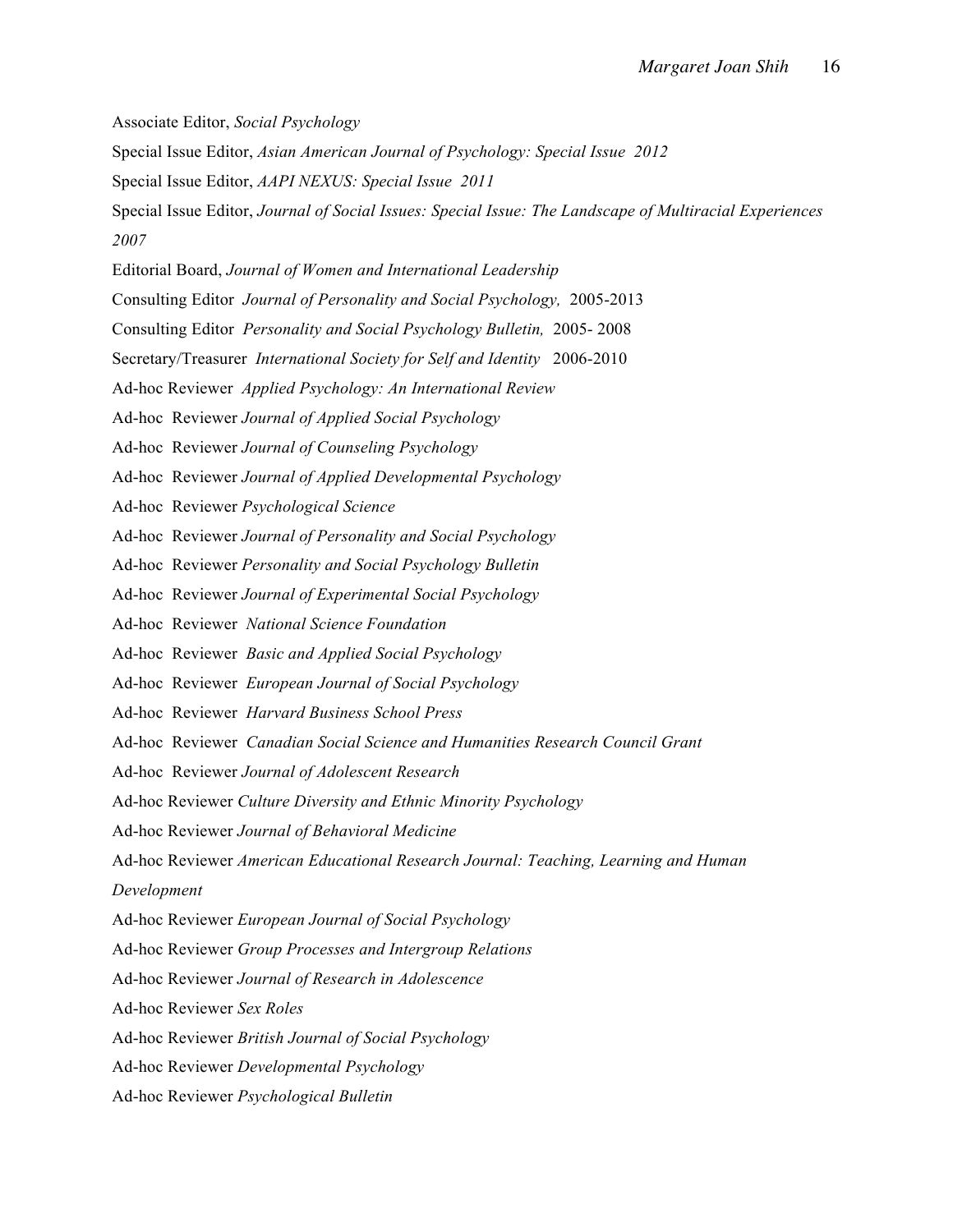Associate Editor, *Social Psychology* Special Issue Editor, *Asian American Journal of Psychology: Special Issue 2012* Special Issue Editor, *AAPI NEXUS: Special Issue 2011* Special Issue Editor, *Journal of Social Issues: Special Issue: The Landscape of Multiracial Experiences 2007* Editorial Board, *Journal of Women and International Leadership* Consulting Editor *Journal of Personality and Social Psychology,* 2005-2013 Consulting Editor *Personality and Social Psychology Bulletin,* 2005- 2008 Secretary/Treasurer *International Society for Self and Identity* 2006-2010 Ad-hoc Reviewer *Applied Psychology: An International Review* Ad-hoc Reviewer *Journal of Applied Social Psychology* Ad-hocReviewer *Journal of Counseling Psychology* Ad-hoc Reviewer *Journal of Applied Developmental Psychology* Ad-hoc Reviewer *Psychological Science* Ad-hoc Reviewer *Journal of Personality and Social Psychology* Ad-hoc Reviewer *Personality and Social Psychology Bulletin* Ad-hoc Reviewer *Journal of Experimental Social Psychology* Ad-hoc Reviewer *National Science Foundation* Ad-hoc Reviewer *Basic and Applied Social Psychology* Ad-hocReviewer *European Journal of Social Psychology* Ad-hoc Reviewer *Harvard Business School Press* Ad-hoc Reviewer *Canadian Social Science and Humanities Research Council Grant* Ad-hoc Reviewer *Journal of Adolescent Research* Ad-hoc Reviewer *Culture Diversity and Ethnic Minority Psychology*  Ad-hoc Reviewer *Journal of Behavioral Medicine* Ad-hoc Reviewer *American Educational Research Journal: Teaching, Learning and Human Development*  Ad-hoc Reviewer *European Journal of Social Psychology* Ad-hoc Reviewer *Group Processes and Intergroup Relations* Ad-hoc Reviewer *Journal of Research in Adolescence* Ad-hoc Reviewer *Sex Roles* Ad-hoc Reviewer *British Journal of Social Psychology* Ad-hoc Reviewer *Developmental Psychology* Ad-hoc Reviewer *Psychological Bulletin*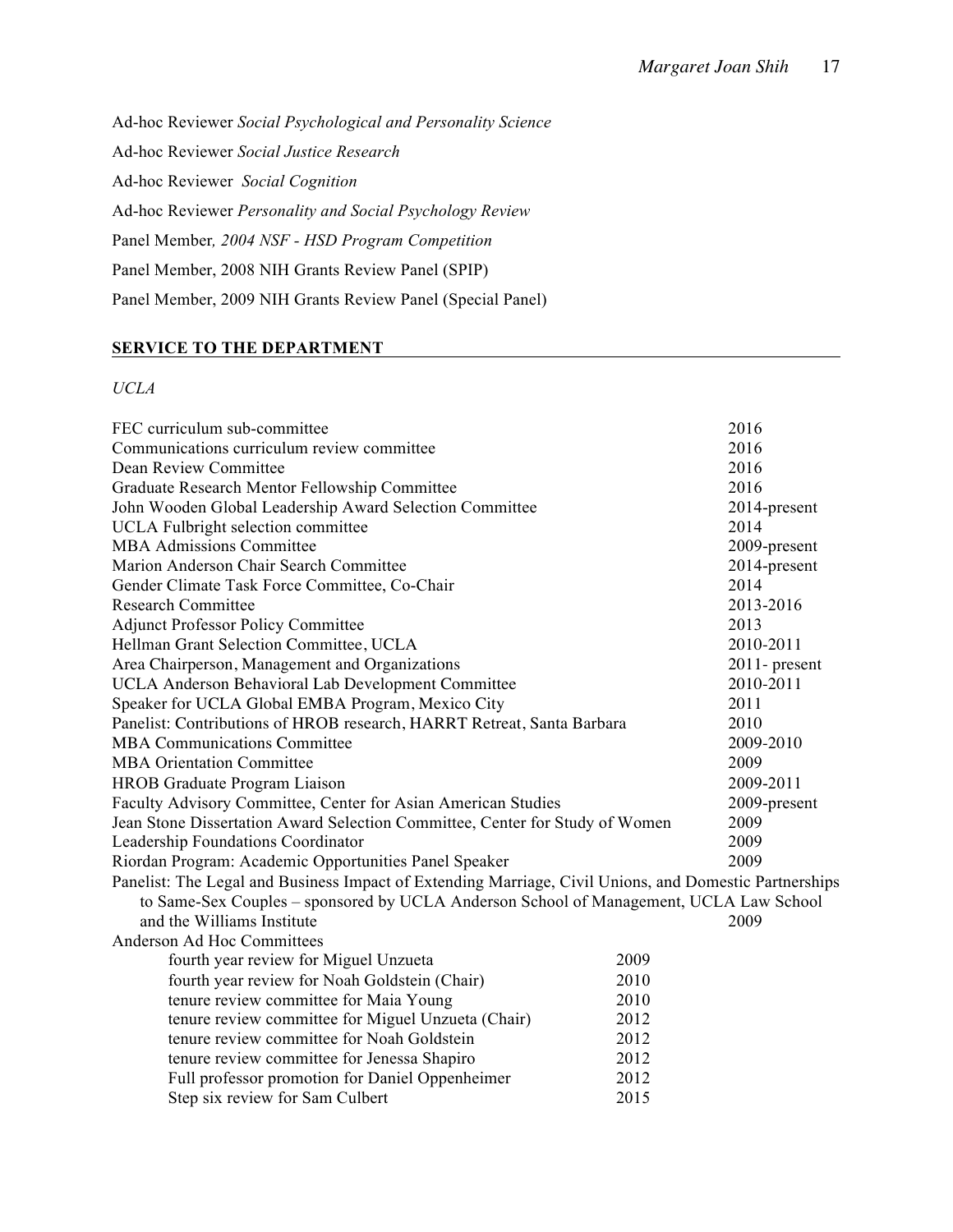Ad-hoc Reviewer *Social Psychological and Personality Science* Ad-hoc Reviewer *Social Justice Research* Ad-hoc Reviewer *Social Cognition* Ad-hoc Reviewer *Personality and Social Psychology Review* Panel Member*, 2004 NSF - HSD Program Competition* Panel Member, 2008 NIH Grants Review Panel (SPIP) Panel Member, 2009 NIH Grants Review Panel (Special Panel)

# **SERVICE TO THE DEPARTMENT**

# *UCLA*

| FEC curriculum sub-committee                                                                           |      | 2016             |
|--------------------------------------------------------------------------------------------------------|------|------------------|
| Communications curriculum review committee                                                             | 2016 |                  |
| Dean Review Committee                                                                                  |      | 2016             |
| Graduate Research Mentor Fellowship Committee                                                          |      | 2016             |
| John Wooden Global Leadership Award Selection Committee                                                |      | 2014-present     |
| <b>UCLA</b> Fulbright selection committee                                                              |      | 2014             |
| <b>MBA Admissions Committee</b>                                                                        |      | 2009-present     |
| Marion Anderson Chair Search Committee                                                                 |      | 2014-present     |
| Gender Climate Task Force Committee, Co-Chair                                                          |      | 2014             |
| <b>Research Committee</b>                                                                              |      | 2013-2016        |
| <b>Adjunct Professor Policy Committee</b>                                                              |      | 2013             |
| Hellman Grant Selection Committee, UCLA                                                                |      | 2010-2011        |
| Area Chairperson, Management and Organizations                                                         |      | $2011$ - present |
| UCLA Anderson Behavioral Lab Development Committee                                                     |      | 2010-2011        |
| Speaker for UCLA Global EMBA Program, Mexico City                                                      |      | 2011             |
| Panelist: Contributions of HROB research, HARRT Retreat, Santa Barbara                                 |      | 2010             |
| <b>MBA Communications Committee</b>                                                                    |      | 2009-2010        |
| <b>MBA Orientation Committee</b>                                                                       |      | 2009             |
| HROB Graduate Program Liaison                                                                          |      | 2009-2011        |
| Faculty Advisory Committee, Center for Asian American Studies                                          |      | 2009-present     |
| Jean Stone Dissertation Award Selection Committee, Center for Study of Women                           |      | 2009             |
| Leadership Foundations Coordinator                                                                     |      | 2009             |
| Riordan Program: Academic Opportunities Panel Speaker                                                  |      | 2009             |
| Panelist: The Legal and Business Impact of Extending Marriage, Civil Unions, and Domestic Partnerships |      |                  |
| to Same-Sex Couples - sponsored by UCLA Anderson School of Management, UCLA Law School                 |      |                  |
| and the Williams Institute                                                                             |      | 2009             |
| Anderson Ad Hoc Committees                                                                             |      |                  |
| fourth year review for Miguel Unzueta                                                                  | 2009 |                  |
| fourth year review for Noah Goldstein (Chair)                                                          | 2010 |                  |
| tenure review committee for Maia Young                                                                 | 2010 |                  |
| tenure review committee for Miguel Unzueta (Chair)                                                     | 2012 |                  |
| tenure review committee for Noah Goldstein                                                             | 2012 |                  |
| tenure review committee for Jenessa Shapiro                                                            | 2012 |                  |
| Full professor promotion for Daniel Oppenheimer                                                        | 2012 |                  |
| Step six review for Sam Culbert                                                                        | 2015 |                  |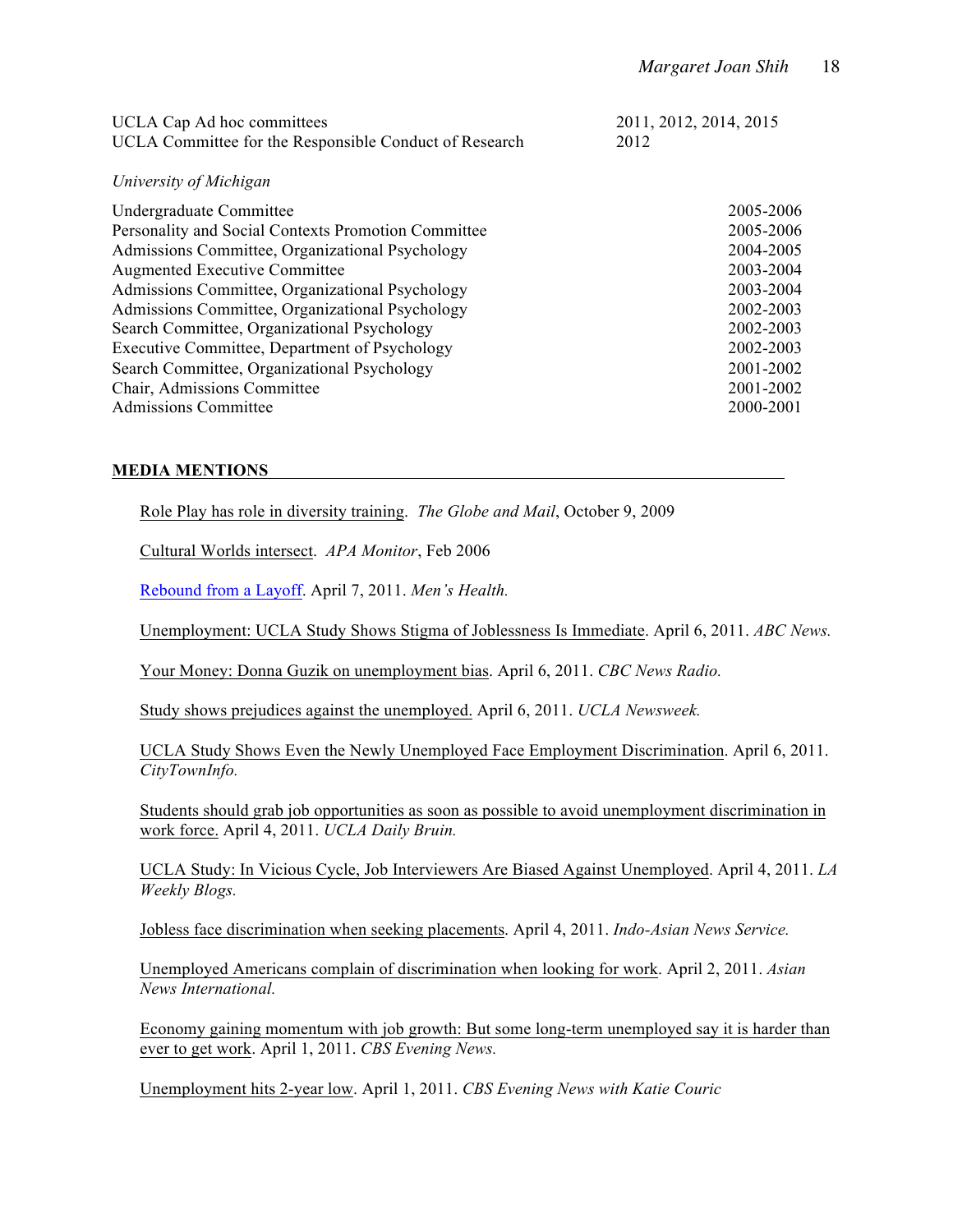| <b>UCLA Cap Ad hoc committees</b><br>UCLA Committee for the Responsible Conduct of Research | 2011, 2012, 2014, 2015<br>2012 |  |
|---------------------------------------------------------------------------------------------|--------------------------------|--|
| University of Michigan                                                                      |                                |  |
| Undergraduate Committee                                                                     | 2005-2006                      |  |
| Personality and Social Contexts Promotion Committee                                         | 2005-2006                      |  |
| Admissions Committee, Organizational Psychology                                             | 2004-2005                      |  |
| <b>Augmented Executive Committee</b>                                                        | 2003-2004                      |  |
| Admissions Committee, Organizational Psychology                                             | 2003-2004                      |  |
| Admissions Committee, Organizational Psychology                                             | 2002-2003                      |  |
| Search Committee, Organizational Psychology                                                 | 2002-2003                      |  |
| Executive Committee, Department of Psychology                                               | 2002-2003                      |  |
| Search Committee, Organizational Psychology                                                 | 2001-2002                      |  |
| Chair, Admissions Committee                                                                 | 2001-2002                      |  |
| Admissions Committee                                                                        | 2000-2001                      |  |
|                                                                                             |                                |  |

# **MEDIA MENTIONS**

Role Play has role in diversity training. *The Globe and Mail*, October 9, 2009

Cultural Worlds intersect. *APA Monitor*, Feb 2006

Rebound from a Layoff. April 7, 2011. *Men's Health.*

Unemployment: UCLA Study Shows Stigma of Joblessness Is Immediate. April 6, 2011. *ABC News.*

Your Money: Donna Guzik on unemployment bias. April 6, 2011. *CBC News Radio.*

Study shows prejudices against the unemployed. April 6, 2011. *UCLA Newsweek.*

UCLA Study Shows Even the Newly Unemployed Face Employment Discrimination. April 6, 2011. *CityTownInfo.*

Students should grab job opportunities as soon as possible to avoid unemployment discrimination in work force. April 4, 2011. *UCLA Daily Bruin.*

UCLA Study: In Vicious Cycle, Job Interviewers Are Biased Against Unemployed. April 4, 2011. *LA Weekly Blogs.*

Jobless face discrimination when seeking placements. April 4, 2011. *Indo-Asian News Service.*

Unemployed Americans complain of discrimination when looking for work. April 2, 2011. *Asian News International.*

Economy gaining momentum with job growth: But some long-term unemployed say it is harder than ever to get work. April 1, 2011. *CBS Evening News.*

Unemployment hits 2-year low. April 1, 2011. *CBS Evening News with Katie Couric*